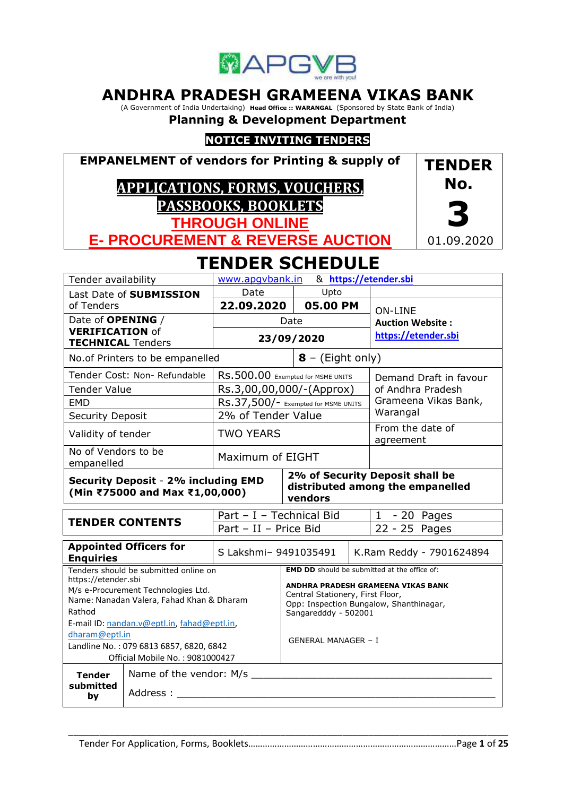

# **ANDHRA PRADESH GRAMEENA VIKAS BANK**

(A Government of India Undertaking) **Head Office :: WARANGAL** (Sponsored by State Bank of India)

# **Planning & Development Department**

# **NOTICE INVITING TENDERS**

**EMPANELMENT of vendors for Printing & supply of**

# **APPLICATIONS, FORMS, VOUCHERS, PASSBOOKS, BOOKLETS**



**THROUGH ONLINE E- PROCUREMENT & REVERSE AUCTION**

# **TENDER SCHEDULE**

| Tender availability                                                                                                                                              |                                        | & https://etender.sbi<br>www.apqvbank.in |                                                                                                                                           |                        |                          |                                                                  |  |
|------------------------------------------------------------------------------------------------------------------------------------------------------------------|----------------------------------------|------------------------------------------|-------------------------------------------------------------------------------------------------------------------------------------------|------------------------|--------------------------|------------------------------------------------------------------|--|
|                                                                                                                                                                  | Last Date of SUBMISSION                | Date<br>Upto                             |                                                                                                                                           |                        |                          |                                                                  |  |
| of Tenders                                                                                                                                                       |                                        | 22.09.2020                               |                                                                                                                                           | 05.00 PM               |                          | <b>ON-LINE</b><br><b>Auction Website:</b><br>https://etender.sbi |  |
| Date of OPENING /                                                                                                                                                |                                        |                                          | Date                                                                                                                                      |                        |                          |                                                                  |  |
| <b>VERIFICATION of</b><br><b>TECHNICAL Tenders</b>                                                                                                               |                                        |                                          |                                                                                                                                           | 23/09/2020             |                          |                                                                  |  |
|                                                                                                                                                                  | No.of Printers to be empanelled        |                                          | $8 - (Eight only)$                                                                                                                        |                        |                          |                                                                  |  |
|                                                                                                                                                                  | Tender Cost: Non-Refundable            | RS.500.00 Exempted for MSME UNITS        |                                                                                                                                           | Demand Draft in favour |                          |                                                                  |  |
| <b>Tender Value</b>                                                                                                                                              |                                        | Rs.3,00,00,000/-(Approx)                 |                                                                                                                                           |                        |                          | of Andhra Pradesh                                                |  |
| <b>EMD</b>                                                                                                                                                       |                                        | RS.37,500/- Exempted for MSME UNITS      |                                                                                                                                           |                        |                          | Grameena Vikas Bank,                                             |  |
| <b>Security Deposit</b>                                                                                                                                          |                                        | 2% of Tender Value                       |                                                                                                                                           |                        |                          | Warangal                                                         |  |
|                                                                                                                                                                  | <b>TWO YEARS</b><br>Validity of tender |                                          |                                                                                                                                           |                        |                          | From the date of<br>agreement                                    |  |
| No of Vendors to be<br>empanelled                                                                                                                                |                                        | Maximum of EIGHT                         |                                                                                                                                           |                        |                          |                                                                  |  |
| 2% of Security Deposit shall be<br><b>Security Deposit - 2% including EMD</b><br>distributed among the empanelled<br>(Min ₹75000 and Max ₹1,00,000)<br>vendors   |                                        |                                          |                                                                                                                                           |                        |                          |                                                                  |  |
| <b>TENDER CONTENTS</b>                                                                                                                                           |                                        | Part - I - Technical Bid                 |                                                                                                                                           |                        |                          | $1 - 20$ Pages                                                   |  |
|                                                                                                                                                                  |                                        | Part - II - Price Bid                    |                                                                                                                                           |                        | 22 - 25 Pages            |                                                                  |  |
| <b>Appointed Officers for</b><br><b>Enquiries</b>                                                                                                                |                                        | S Lakshmi- 9491035491                    |                                                                                                                                           |                        | K.Ram Reddy - 7901624894 |                                                                  |  |
|                                                                                                                                                                  | Tenders should be submitted online on  |                                          |                                                                                                                                           |                        |                          | <b>EMD DD</b> should be submitted at the office of:              |  |
| https://etender.sbi<br>M/s e-Procurement Technologies Ltd.<br>Name: Nanadan Valera, Fahad Khan & Dharam<br>Rathod<br>E-mail ID: nandan.v@eptl.in, fahad@eptl.in, |                                        |                                          | ANDHRA PRADESH GRAMEENA VIKAS BANK<br>Central Stationery, First Floor,<br>Opp: Inspection Bungalow, Shanthinagar,<br>Sangaredddy - 502001 |                        |                          |                                                                  |  |
| dharam@eptl.in                                                                                                                                                   |                                        |                                          |                                                                                                                                           |                        |                          |                                                                  |  |
| Landline No.: 079 6813 6857, 6820, 6842                                                                                                                          |                                        |                                          | <b>GENERAL MANAGER - I</b>                                                                                                                |                        |                          |                                                                  |  |
|                                                                                                                                                                  | Official Mobile No.: 9081000427        |                                          |                                                                                                                                           |                        |                          |                                                                  |  |
| <b>Tender</b>                                                                                                                                                    | Name of the vendor: M/s                |                                          |                                                                                                                                           |                        |                          |                                                                  |  |
| submitted<br>Address :<br>by                                                                                                                                     |                                        |                                          |                                                                                                                                           |                        |                          |                                                                  |  |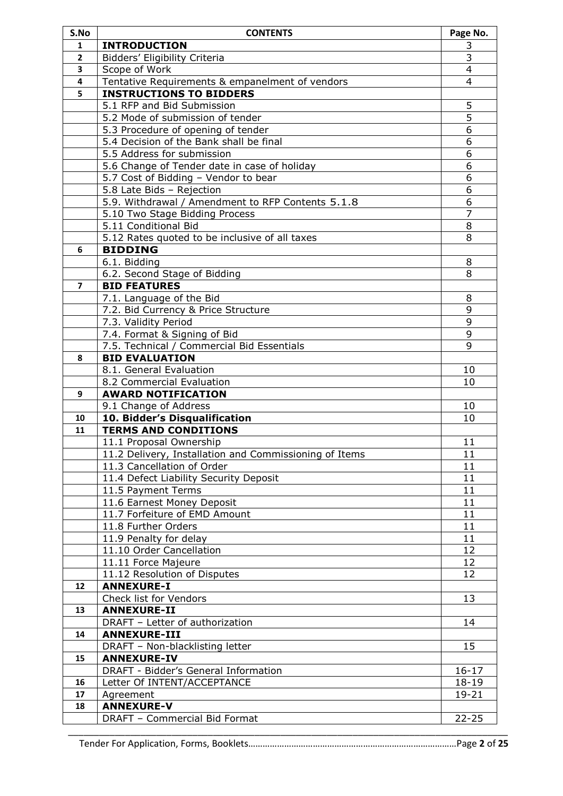| S.No                     | <b>CONTENTS</b>                                              | Page No.       |
|--------------------------|--------------------------------------------------------------|----------------|
| 1                        | <b>INTRODUCTION</b>                                          | 3              |
| $\mathbf{2}$             | Bidders' Eligibility Criteria                                | 3              |
| 3                        | Scope of Work                                                | $\overline{4}$ |
| 4                        | Tentative Requirements & empanelment of vendors              | 4              |
| 5                        | <b>INSTRUCTIONS TO BIDDERS</b>                               |                |
|                          | 5.1 RFP and Bid Submission                                   | 5              |
|                          | 5.2 Mode of submission of tender                             | $\overline{5}$ |
|                          | 5.3 Procedure of opening of tender                           | $\overline{6}$ |
|                          | 5.4 Decision of the Bank shall be final                      | 6              |
|                          | 5.5 Address for submission                                   | 6              |
|                          | 5.6 Change of Tender date in case of holiday                 | 6              |
|                          | 5.7 Cost of Bidding - Vendor to bear                         | 6              |
|                          | 5.8 Late Bids - Rejection                                    | 6              |
|                          | 5.9. Withdrawal / Amendment to RFP Contents 5.1.8            | 6              |
|                          | 5.10 Two Stage Bidding Process                               | $\overline{7}$ |
|                          | 5.11 Conditional Bid                                         | 8              |
|                          | 5.12 Rates quoted to be inclusive of all taxes               | 8              |
| 6                        | <b>BIDDING</b>                                               |                |
|                          | 6.1. Bidding                                                 | 8              |
|                          | 6.2. Second Stage of Bidding                                 | 8              |
| $\overline{\phantom{a}}$ | <b>BID FEATURES</b>                                          |                |
|                          | 7.1. Language of the Bid                                     | 8              |
|                          | 7.2. Bid Currency & Price Structure                          | 9              |
|                          | 7.3. Validity Period                                         | 9              |
|                          | 7.4. Format & Signing of Bid                                 | 9              |
|                          | 7.5. Technical / Commercial Bid Essentials                   | 9              |
| 8                        | <b>BID EVALUATION</b>                                        |                |
|                          | 8.1. General Evaluation                                      | 10             |
|                          | 8.2 Commercial Evaluation                                    | 10             |
| 9                        | <b>AWARD NOTIFICATION</b>                                    |                |
|                          |                                                              |                |
| 10                       | 9.1 Change of Address                                        | 10             |
| 11                       | 10. Bidder's Disqualification<br><b>TERMS AND CONDITIONS</b> | 10             |
|                          |                                                              |                |
|                          | 11.1 Proposal Ownership                                      | 11             |
|                          | 11.2 Delivery, Installation and Commissioning of Items       | 11             |
|                          | 11.3 Cancellation of Order                                   | 11             |
|                          | 11.4 Defect Liability Security Deposit                       | 11             |
|                          | 11.5 Payment Terms                                           | 11             |
|                          | 11.6 Earnest Money Deposit                                   | 11             |
|                          | 11.7 Forfeiture of EMD Amount                                | 11             |
|                          | 11.8 Further Orders                                          | 11             |
|                          | 11.9 Penalty for delay                                       | 11             |
|                          | 11.10 Order Cancellation                                     | 12             |
|                          | 11.11 Force Majeure                                          | 12             |
|                          | 11.12 Resolution of Disputes                                 | 12             |
| 12                       | <b>ANNEXURE-I</b>                                            |                |
|                          | Check list for Vendors                                       | 13             |
| 13                       | <b>ANNEXURE-II</b>                                           |                |
|                          | DRAFT - Letter of authorization                              | 14             |
| 14                       | <b>ANNEXURE-III</b>                                          |                |
|                          | DRAFT - Non-blacklisting letter                              | 15             |
| 15                       | <b>ANNEXURE-IV</b>                                           |                |
|                          | DRAFT - Bidder's General Information                         | $16 - 17$      |
| 16                       | Letter Of INTENT/ACCEPTANCE                                  | $18 - 19$      |
| 17                       | Agreement                                                    | $19 - 21$      |
| 18                       | <b>ANNEXURE-V</b>                                            |                |
|                          | DRAFT - Commercial Bid Format                                | $22 - 25$      |
|                          |                                                              |                |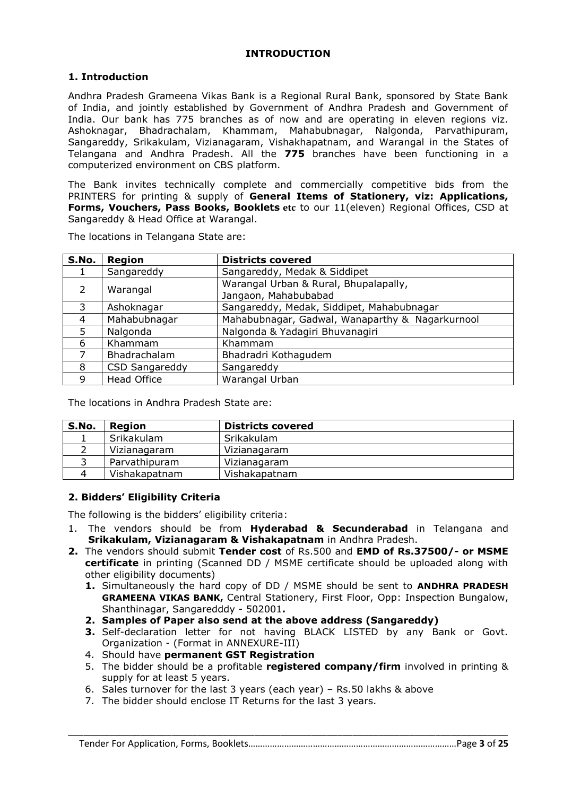## **INTRODUCTION**

## **1. Introduction**

Andhra Pradesh Grameena Vikas Bank is a Regional Rural Bank, sponsored by State Bank of India, and jointly established by Government of Andhra Pradesh and Government of India. Our bank has 775 branches as of now and are operating in eleven regions viz. Ashoknagar, Bhadrachalam, Khammam, Mahabubnagar, Nalgonda, Parvathipuram, Sangareddy, Srikakulam, Vizianagaram, Vishakhapatnam, and Warangal in the States of Telangana and Andhra Pradesh. All the **775** branches have been functioning in a computerized environment on CBS platform.

The Bank invites technically complete and commercially competitive bids from the PRINTERS for printing & supply of **General Items of Stationery, viz: Applications, Forms, Vouchers, Pass Books, Booklets etc** to our 11(eleven) Regional Offices, CSD at Sangareddy & Head Office at Warangal.

| S.No.         | Region                | <b>Districts covered</b>                                      |  |
|---------------|-----------------------|---------------------------------------------------------------|--|
|               | Sangareddy            | Sangareddy, Medak & Siddipet                                  |  |
| $\mathcal{P}$ | Warangal              | Warangal Urban & Rural, Bhupalapally,<br>Jangaon, Mahabubabad |  |
| 3             | Ashoknagar            | Sangareddy, Medak, Siddipet, Mahabubnagar                     |  |
| 4             | Mahabubnagar          | Mahabubnagar, Gadwal, Wanaparthy & Nagarkurnool               |  |
| 5             | Nalgonda              | Nalgonda & Yadagiri Bhuvanagiri                               |  |
| 6             | Khammam               | Khammam                                                       |  |
|               | Bhadrachalam          | Bhadradri Kothagudem                                          |  |
| 8             | <b>CSD Sangareddy</b> | Sangareddy                                                    |  |
| 9             | <b>Head Office</b>    | Warangal Urban                                                |  |

The locations in Telangana State are:

The locations in Andhra Pradesh State are:

| S.No. | <b>Region</b> | <b>Districts covered</b> |
|-------|---------------|--------------------------|
|       | Srikakulam    | Srikakulam               |
|       | Vizianagaram  | Vizianagaram             |
|       | Parvathipuram | Vizianagaram             |
|       | Vishakapatnam | Vishakapatnam            |

## **2. Bidders' Eligibility Criteria**

The following is the bidders' eligibility criteria:

- 1. The vendors should be from **Hyderabad & Secunderabad** in Telangana and **Srikakulam, Vizianagaram & Vishakapatnam** in Andhra Pradesh.
- **2.** The vendors should submit **Tender cost** of Rs.500 and **EMD of Rs.37500/- or MSME certificate** in printing (Scanned DD / MSME certificate should be uploaded along with other eligibility documents)
	- **1.** Simultaneously the hard copy of DD / MSME should be sent to **ANDHRA PRADESH GRAMEENA VIKAS BANK,** Central Stationery, First Floor, Opp: Inspection Bungalow, Shanthinagar, Sangaredddy - 502001**.**
	- **2. Samples of Paper also send at the above address (Sangareddy)**
	- **3.** Self-declaration letter for not having BLACK LISTED by any Bank or Govt. Organization - (Format in ANNEXURE-III)
	- 4. Should have **permanent GST Registration**
	- 5. The bidder should be a profitable **registered company/firm** involved in printing & supply for at least 5 years.
	- 6. Sales turnover for the last 3 years (each year) Rs.50 lakhs & above
	- 7. The bidder should enclose IT Returns for the last 3 years.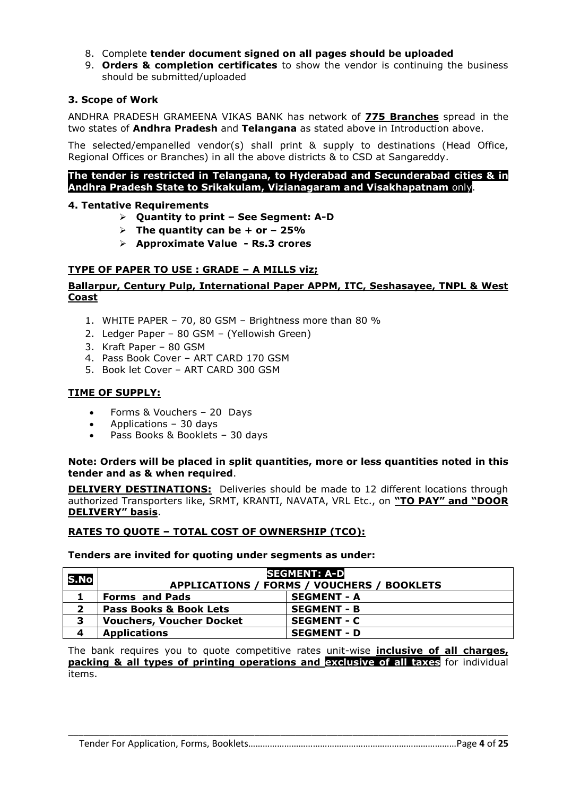- 8. Complete **tender document signed on all pages should be uploaded**
- 9. **Orders & completion certificates** to show the vendor is continuing the business should be submitted/uploaded

## **3. Scope of Work**

ANDHRA PRADESH GRAMEENA VIKAS BANK has network of **775 Branches** spread in the two states of **Andhra Pradesh** and **Telangana** as stated above in Introduction above.

The selected/empanelled vendor(s) shall print & supply to destinations (Head Office, Regional Offices or Branches) in all the above districts & to CSD at Sangareddy.

#### **The tender is restricted in Telangana, to Hyderabad and Secunderabad cities & in Andhra Pradesh State to Srikakulam, Vizianagaram and Visakhapatnam** only.

#### **4. Tentative Requirements**

- **Quantity to print – See Segment: A-D**
- $\triangleright$  The quantity can be + or  $-$  25%
- **Approximate Value - Rs.3 crores**

#### **TYPE OF PAPER TO USE : GRADE – A MILLS viz;**

## **Ballarpur, Century Pulp, International Paper APPM, ITC, Seshasayee, TNPL & West Coast**

- 1. WHITE PAPER 70, 80 GSM Brightness more than 80 %
- 2. Ledger Paper 80 GSM (Yellowish Green)
- 3. Kraft Paper 80 GSM
- 4. Pass Book Cover ART CARD 170 GSM
- 5. Book let Cover ART CARD 300 GSM

## **TIME OF SUPPLY:**

- Forms & Vouchers 20 Days
- Applications 30 days
- Pass Books & Booklets 30 days

#### **Note: Orders will be placed in split quantities, more or less quantities noted in this tender and as & when required**.

**DELIVERY DESTINATIONS:** Deliveries should be made to 12 different locations through authorized Transporters like, SRMT, KRANTI, NAVATA, VRL Etc., on **"TO PAY" and "DOOR DELIVERY" basis**.

## **RATES TO QUOTE – TOTAL COST OF OWNERSHIP (TCO):**

#### **Tenders are invited for quoting under segments as under:**

| S.No | <b>SEGMENT: A-D</b><br>APPLICATIONS / FORMS / VOUCHERS / BOOKLETS |                    |  |
|------|-------------------------------------------------------------------|--------------------|--|
|      | <b>Forms and Pads</b>                                             | <b>SEGMENT - A</b> |  |
|      | <b>Pass Books &amp; Book Lets</b>                                 | <b>SEGMENT - B</b> |  |
| 3    | <b>Vouchers, Voucher Docket</b>                                   | <b>SEGMENT - C</b> |  |
| 4    | <b>Applications</b>                                               | <b>SEGMENT - D</b> |  |

The bank requires you to quote competitive rates unit-wise **inclusive of all charges, packing & all types of printing operations and exclusive of all taxes** for individual items.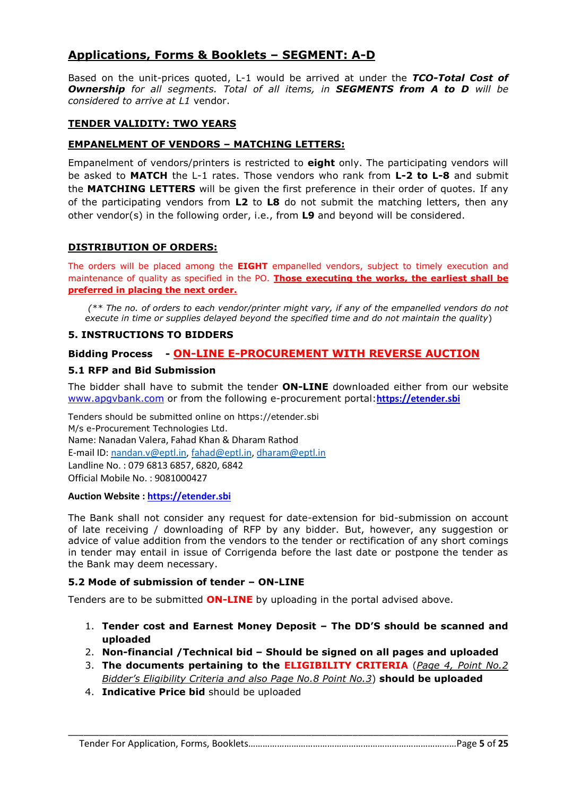# **Applications, Forms & Booklets – SEGMENT: A-D**

Based on the unit-prices quoted, L-1 would be arrived at under the *TCO-Total Cost of Ownership for all segments. Total of all items, in SEGMENTS from A to D will be considered to arrive at L1* vendor.

## **TENDER VALIDITY: TWO YEARS**

## **EMPANELMENT OF VENDORS – MATCHING LETTERS:**

Empanelment of vendors/printers is restricted to **eight** only. The participating vendors will be asked to **MATCH** the L-1 rates. Those vendors who rank from **L-2 to L-8** and submit the **MATCHING LETTERS** will be given the first preference in their order of quotes. If any of the participating vendors from **L2** to **L8** do not submit the matching letters, then any other vendor(s) in the following order, i.e., from **L9** and beyond will be considered.

## **DISTRIBUTION OF ORDERS:**

The orders will be placed among the **EIGHT** empanelled vendors, subject to timely execution and maintenance of quality as specified in the PO. **Those executing the works, the earliest shall be preferred in placing the next order.**

*(\*\* The no. of orders to each vendor/printer might vary, if any of the empanelled vendors do not execute in time or supplies delayed beyond the specified time and do not maintain the quality*)

## **5. INSTRUCTIONS TO BIDDERS**

## **Bidding Process - ON-LINE E-PROCUREMENT WITH REVERSE AUCTION**

#### **5.1 RFP and Bid Submission**

The bidder shall have to submit the tender **ON-LINE** downloaded either from our website [www.apgvbank.com](http://www.apgvbank.com/) or from the following e-procurement portal:**[https://etender.sbi](https://etender.sbi/)**

Tenders should be submitted online on https://etender.sbi M/s e-Procurement Technologies Ltd. Name: Nanadan Valera, Fahad Khan & Dharam Rathod E-mail ID: [nandan.v@eptl.in,](mailto:nandan.v@eptl.in) [fahad@eptl.in,](mailto:fahad@eptl.in) [dharam@eptl.in](mailto:dharam@eptl.in) Landline No. : 079 6813 6857, 6820, 6842 Official Mobile No. : 9081000427

#### **Auction Website : [https://etender.sbi](https://etender.sbi/)**

The Bank shall not consider any request for date-extension for bid-submission on account of late receiving / downloading of RFP by any bidder. But, however, any suggestion or advice of value addition from the vendors to the tender or rectification of any short comings in tender may entail in issue of Corrigenda before the last date or postpone the tender as the Bank may deem necessary.

#### **5.2 Mode of submission of tender – ON-LINE**

Tenders are to be submitted **ON-LINE** by uploading in the portal advised above.

- 1. **Tender cost and Earnest Money Deposit – The DD'S should be scanned and uploaded**
- 2. **Non-financial /Technical bid – Should be signed on all pages and uploaded**
- 3. **The documents pertaining to the ELIGIBILITY CRITERIA** (*Page 4, Point No.2 Bidder's Eligibility Criteria and also Page No.8 Point No.3*) **should be uploaded**
- 4. **Indicative Price bid** should be uploaded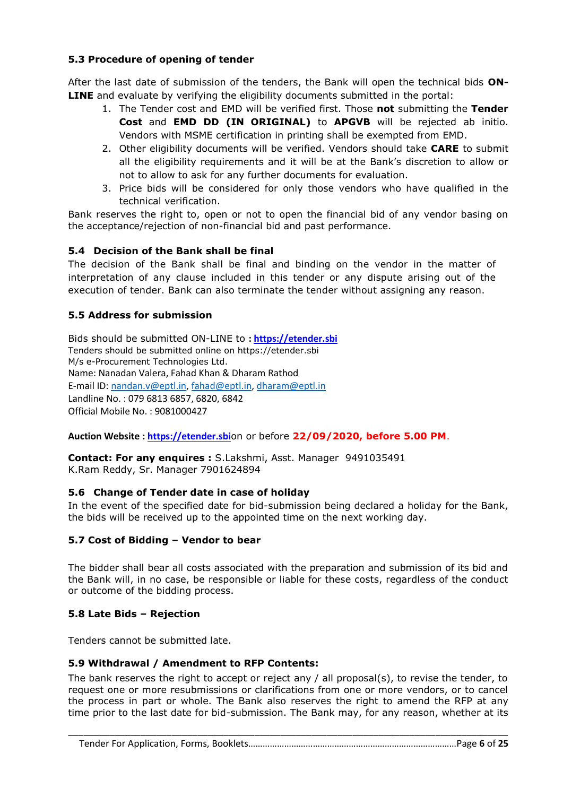## **5.3 Procedure of opening of tender**

After the last date of submission of the tenders, the Bank will open the technical bids **ON-LINE** and evaluate by verifying the eligibility documents submitted in the portal:

- 1. The Tender cost and EMD will be verified first. Those **not** submitting the **Tender Cost** and **EMD DD (IN ORIGINAL)** to **APGVB** will be rejected ab initio. Vendors with MSME certification in printing shall be exempted from EMD.
- 2. Other eligibility documents will be verified. Vendors should take **CARE** to submit all the eligibility requirements and it will be at the Bank's discretion to allow or not to allow to ask for any further documents for evaluation.
- 3. Price bids will be considered for only those vendors who have qualified in the technical verification.

Bank reserves the right to, open or not to open the financial bid of any vendor basing on the acceptance/rejection of non-financial bid and past performance.

## **5.4 Decision of the Bank shall be final**

The decision of the Bank shall be final and binding on the vendor in the matter of interpretation of any clause included in this tender or any dispute arising out of the execution of tender. Bank can also terminate the tender without assigning any reason.

# **5.5 Address for submission**

Bids should be submitted ON-LINE to **[: https://etender.sbi](https://etender.sbi/)** Tenders should be submitted online on https://etender.sbi M/s e-Procurement Technologies Ltd. Name: Nanadan Valera, Fahad Khan & Dharam Rathod E-mail ID: [nandan.v@eptl.in,](mailto:nandan.v@eptl.in) [fahad@eptl.in,](mailto:fahad@eptl.in) [dharam@eptl.in](mailto:dharam@eptl.in) Landline No. : 079 6813 6857, 6820, 6842 Official Mobile No. : 9081000427

**Auction Website : [https://etender.sbi](https://etender.sbi/)**on or before **22/09/2020, before 5.00 PM**.

**Contact: For any enquires :** S.Lakshmi, Asst. Manager 9491035491 K.Ram Reddy, Sr. Manager 7901624894

## **5.6 Change of Tender date in case of holiday**

In the event of the specified date for bid-submission being declared a holiday for the Bank, the bids will be received up to the appointed time on the next working day.

## **5.7 Cost of Bidding – Vendor to bear**

The bidder shall bear all costs associated with the preparation and submission of its bid and the Bank will, in no case, be responsible or liable for these costs, regardless of the conduct or outcome of the bidding process.

## **5.8 Late Bids – Rejection**

Tenders cannot be submitted late.

## **5.9 Withdrawal / Amendment to RFP Contents:**

The bank reserves the right to accept or reject any / all proposal(s), to revise the tender, to request one or more resubmissions or clarifications from one or more vendors, or to cancel the process in part or whole. The Bank also reserves the right to amend the RFP at any time prior to the last date for bid-submission. The Bank may, for any reason, whether at its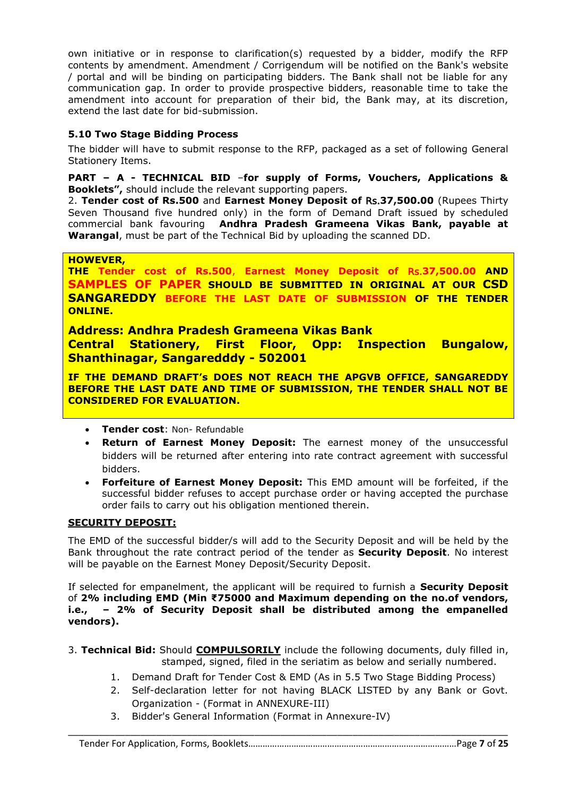own initiative or in response to clarification(s) requested by a bidder, modify the RFP contents by amendment. Amendment / Corrigendum will be notified on the Bank's website / portal and will be binding on participating bidders. The Bank shall not be liable for any communication gap. In order to provide prospective bidders, reasonable time to take the amendment into account for preparation of their bid, the Bank may, at its discretion, extend the last date for bid-submission.

# **5.10 Two Stage Bidding Process**

The bidder will have to submit response to the RFP, packaged as a set of following General Stationery Items.

## **PART – A - TECHNICAL BID** –**for supply of Forms, Vouchers, Applications & Booklets",** should include the relevant supporting papers.

2. **Tender cost of Rs.500** and **Earnest Money Deposit of** Rs.**37,500.00** (Rupees Thirty Seven Thousand five hundred only) in the form of Demand Draft issued by scheduled commercial bank favouring **Andhra Pradesh Grameena Vikas Bank, payable at Warangal**, must be part of the Technical Bid by uploading the scanned DD.

## **HOWEVER,**

**THE Tender cost of Rs.500**, **Earnest Money Deposit of** Rs.**37,500.00 AND SAMPLES OF PAPER SHOULD BE SUBMITTED IN ORIGINAL AT OUR CSD SANGAREDDY BEFORE THE LAST DATE OF SUBMISSION OF THE TENDER ONLINE.**

**Address: Andhra Pradesh Grameena Vikas Bank Central Stationery, First Floor, Opp: Inspection Bungalow, Shanthinagar, Sangaredddy - 502001**

**IF THE DEMAND DRAFT's DOES NOT REACH THE APGVB OFFICE, SANGAREDDY BEFORE THE LAST DATE AND TIME OF SUBMISSION, THE TENDER SHALL NOT BE CONSIDERED FOR EVALUATION.**

- **Tender cost**: Non- Refundable
- **Return of Earnest Money Deposit:** The earnest money of the unsuccessful bidders will be returned after entering into rate contract agreement with successful bidders.
- **Forfeiture of Earnest Money Deposit:** This EMD amount will be forfeited, if the successful bidder refuses to accept purchase order or having accepted the purchase order fails to carry out his obligation mentioned therein.

## **SECURITY DEPOSIT:**

The EMD of the successful bidder/s will add to the Security Deposit and will be held by the Bank throughout the rate contract period of the tender as **Security Deposit**. No interest will be payable on the Earnest Money Deposit/Security Deposit.

If selected for empanelment, the applicant will be required to furnish a **Security Deposit** of **2% including EMD (Min ₹75000 and Maximum depending on the no.of vendors, i.e., – 2% of Security Deposit shall be distributed among the empanelled vendors).**

3. **Technical Bid:** Should **COMPULSORILY** include the following documents, duly filled in, stamped, signed, filed in the seriatim as below and serially numbered.

- 1. Demand Draft for Tender Cost & EMD (As in 5.5 Two Stage Bidding Process)
- 2. Self-declaration letter for not having BLACK LISTED by any Bank or Govt. Organization - (Format in ANNEXURE-III)
- 3. Bidder's General Information (Format in Annexure-IV)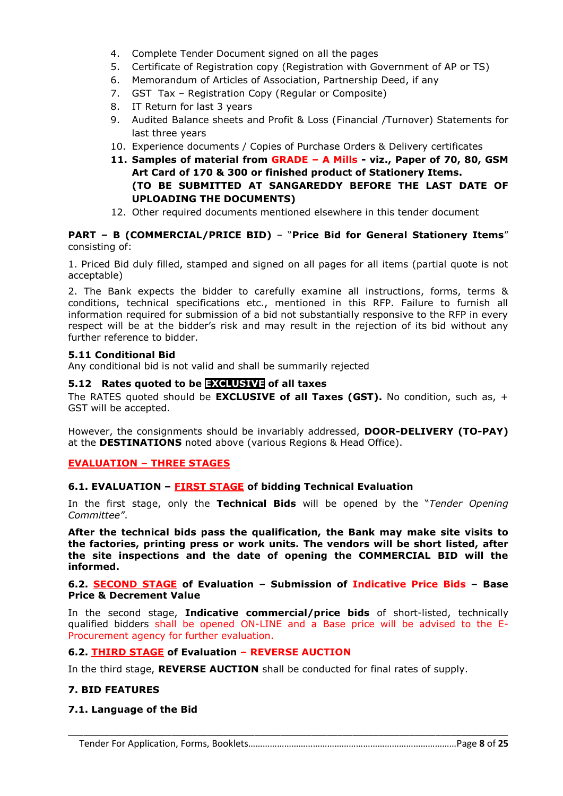- 4. Complete Tender Document signed on all the pages
- 5. Certificate of Registration copy (Registration with Government of AP or TS)
- 6. Memorandum of Articles of Association, Partnership Deed, if any
- 7. GST Tax Registration Copy (Regular or Composite)
- 8. IT Return for last 3 years
- 9. Audited Balance sheets and Profit & Loss (Financial /Turnover) Statements for last three years
- 10. Experience documents / Copies of Purchase Orders & Delivery certificates
- **11. Samples of material from GRADE – A Mills - viz., Paper of 70, 80, GSM Art Card of 170 & 300 or finished product of Stationery Items. (TO BE SUBMITTED AT SANGAREDDY BEFORE THE LAST DATE OF UPLOADING THE DOCUMENTS)**
- 12. Other required documents mentioned elsewhere in this tender document

## **PART – B (COMMERCIAL/PRICE BID)** – "**Price Bid for General Stationery Items**" consisting of:

1. Priced Bid duly filled, stamped and signed on all pages for all items (partial quote is not acceptable)

2. The Bank expects the bidder to carefully examine all instructions, forms, terms & conditions, technical specifications etc., mentioned in this RFP. Failure to furnish all information required for submission of a bid not substantially responsive to the RFP in every respect will be at the bidder's risk and may result in the rejection of its bid without any further reference to bidder.

## **5.11 Conditional Bid**

Any conditional bid is not valid and shall be summarily rejected

## **5.12 Rates quoted to be EXCLUSIVE of all taxes**

The RATES quoted should be **EXCLUSIVE of all Taxes (GST).** No condition, such as, + GST will be accepted.

However, the consignments should be invariably addressed, **DOOR-DELIVERY (TO-PAY)** at the **DESTINATIONS** noted above (various Regions & Head Office).

## **EVALUATION – THREE STAGES**

## **6.1. EVALUATION – FIRST STAGE of bidding Technical Evaluation**

In the first stage, only the **Technical Bids** will be opened by the "*Tender Opening Committee"*.

**After the technical bids pass the qualification, the Bank may make site visits to the factories, printing press or work units. The vendors will be short listed, after the site inspections and the date of opening the COMMERCIAL BID will the informed.**

#### **6.2. SECOND STAGE of Evaluation – Submission of Indicative Price Bids – Base Price & Decrement Value**

In the second stage, **Indicative commercial/price bids** of short-listed, technically qualified bidders shall be opened ON-LINE and a Base price will be advised to the E-Procurement agency for further evaluation.

## **6.2. THIRD STAGE of Evaluation – REVERSE AUCTION**

In the third stage, **REVERSE AUCTION** shall be conducted for final rates of supply.

## **7. BID FEATURES**

## **7.1. Language of the Bid**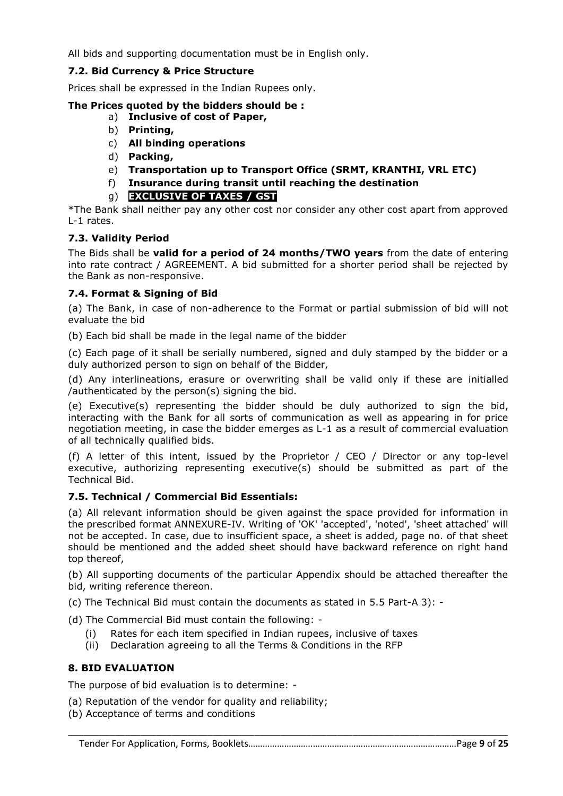All bids and supporting documentation must be in English only.

# **7.2. Bid Currency & Price Structure**

Prices shall be expressed in the Indian Rupees only.

## **The Prices quoted by the bidders should be :**

- a) **Inclusive of cost of Paper,**
- b) **Printing,**
- c) **All binding operations**
- d) **Packing,**
- e) **Transportation up to Transport Office (SRMT, KRANTHI, VRL ETC)**
- f) **Insurance during transit until reaching the destination**
- g) **EXCLUSIVE OF TAXES / GST**

\*The Bank shall neither pay any other cost nor consider any other cost apart from approved L-1 rates.

# **7.3. Validity Period**

The Bids shall be **valid for a period of 24 months/TWO years** from the date of entering into rate contract / AGREEMENT. A bid submitted for a shorter period shall be rejected by the Bank as non-responsive.

## **7.4. Format & Signing of Bid**

(a) The Bank, in case of non-adherence to the Format or partial submission of bid will not evaluate the bid

(b) Each bid shall be made in the legal name of the bidder

(c) Each page of it shall be serially numbered, signed and duly stamped by the bidder or a duly authorized person to sign on behalf of the Bidder,

(d) Any interlineations, erasure or overwriting shall be valid only if these are initialled /authenticated by the person(s) signing the bid.

(e) Executive(s) representing the bidder should be duly authorized to sign the bid, interacting with the Bank for all sorts of communication as well as appearing in for price negotiation meeting, in case the bidder emerges as L-1 as a result of commercial evaluation of all technically qualified bids.

(f) A letter of this intent, issued by the Proprietor / CEO / Director or any top-level executive, authorizing representing executive(s) should be submitted as part of the Technical Bid.

## **7.5. Technical / Commercial Bid Essentials:**

(a) All relevant information should be given against the space provided for information in the prescribed format ANNEXURE-IV. Writing of 'OK' 'accepted', 'noted', 'sheet attached' will not be accepted. In case, due to insufficient space, a sheet is added, page no. of that sheet should be mentioned and the added sheet should have backward reference on right hand top thereof,

(b) All supporting documents of the particular Appendix should be attached thereafter the bid, writing reference thereon.

(c) The Technical Bid must contain the documents as stated in 5.5 Part-A 3): -

(d) The Commercial Bid must contain the following: -

- (i) Rates for each item specified in Indian rupees, inclusive of taxes
- (ii) Declaration agreeing to all the Terms & Conditions in the RFP

# **8. BID EVALUATION**

The purpose of bid evaluation is to determine: -

- (a) Reputation of the vendor for quality and reliability;
- (b) Acceptance of terms and conditions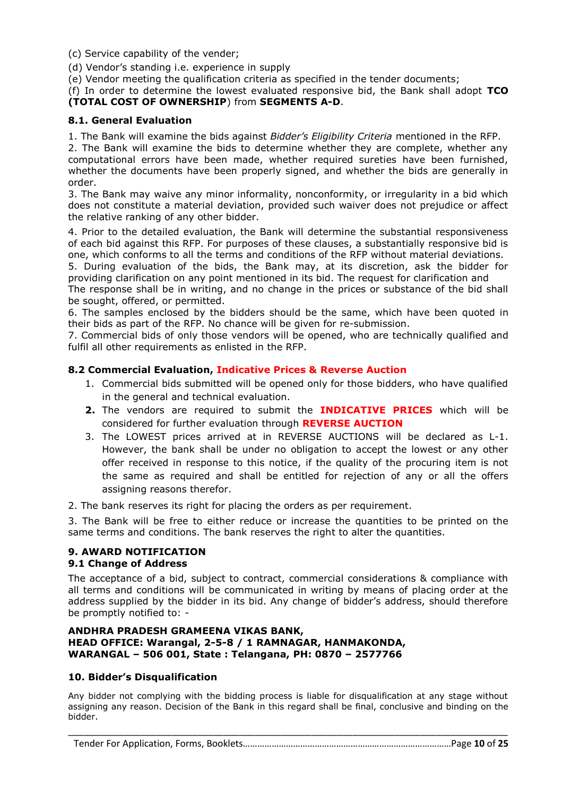(c) Service capability of the vender;

(d) Vendor's standing i.e. experience in supply

(e) Vendor meeting the qualification criteria as specified in the tender documents;

(f) In order to determine the lowest evaluated responsive bid, the Bank shall adopt **TCO (TOTAL COST OF OWNERSHIP**) from **SEGMENTS A-D**.

## **8.1. General Evaluation**

1. The Bank will examine the bids against *Bidder's Eligibility Criteria* mentioned in the RFP.

2. The Bank will examine the bids to determine whether they are complete, whether any computational errors have been made, whether required sureties have been furnished, whether the documents have been properly signed, and whether the bids are generally in order.

3. The Bank may waive any minor informality, nonconformity, or irregularity in a bid which does not constitute a material deviation, provided such waiver does not prejudice or affect the relative ranking of any other bidder.

4. Prior to the detailed evaluation, the Bank will determine the substantial responsiveness of each bid against this RFP. For purposes of these clauses, a substantially responsive bid is one, which conforms to all the terms and conditions of the RFP without material deviations.

5. During evaluation of the bids, the Bank may, at its discretion, ask the bidder for providing clarification on any point mentioned in its bid. The request for clarification and

The response shall be in writing, and no change in the prices or substance of the bid shall be sought, offered, or permitted.

6. The samples enclosed by the bidders should be the same, which have been quoted in their bids as part of the RFP. No chance will be given for re-submission.

7. Commercial bids of only those vendors will be opened, who are technically qualified and fulfil all other requirements as enlisted in the RFP.

#### **8.2 Commercial Evaluation, Indicative Prices & Reverse Auction**

- 1. Commercial bids submitted will be opened only for those bidders, who have qualified in the general and technical evaluation.
- **2.** The vendors are required to submit the **INDICATIVE PRICES** which will be considered for further evaluation through **REVERSE AUCTION**
- 3. The LOWEST prices arrived at in REVERSE AUCTIONS will be declared as L-1. However, the bank shall be under no obligation to accept the lowest or any other offer received in response to this notice, if the quality of the procuring item is not the same as required and shall be entitled for rejection of any or all the offers assigning reasons therefor.

2. The bank reserves its right for placing the orders as per requirement.

3. The Bank will be free to either reduce or increase the quantities to be printed on the same terms and conditions. The bank reserves the right to alter the quantities.

#### **9. AWARD NOTIFICATION 9.1 Change of Address**

The acceptance of a bid, subject to contract, commercial considerations & compliance with all terms and conditions will be communicated in writing by means of placing order at the address supplied by the bidder in its bid. Any change of bidder's address, should therefore be promptly notified to: -

## **ANDHRA PRADESH GRAMEENA VIKAS BANK, HEAD OFFICE: Warangal, 2-5-8 / 1 RAMNAGAR, HANMAKONDA, WARANGAL – 506 001, State : Telangana, PH: 0870 – 2577766**

#### **10. Bidder's Disqualification**

Any bidder not complying with the bidding process is liable for disqualification at any stage without assigning any reason. Decision of the Bank in this regard shall be final, conclusive and binding on the bidder.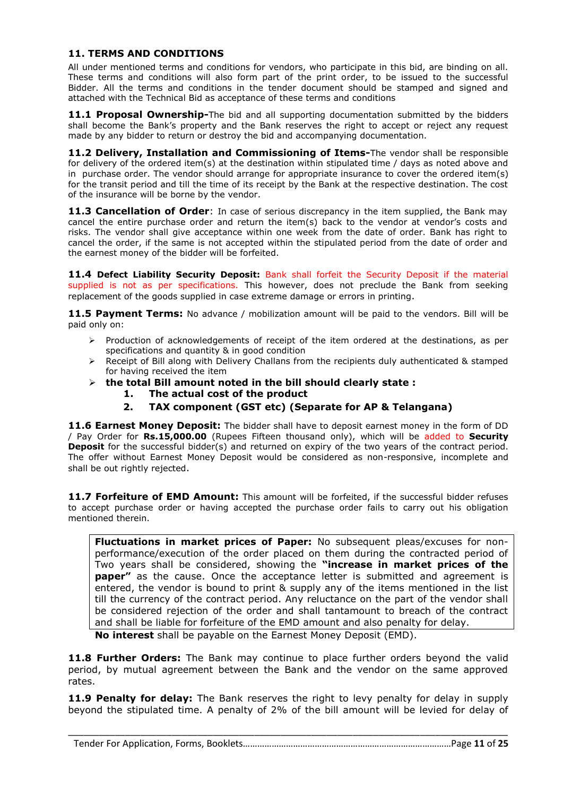#### **11. TERMS AND CONDITIONS**

All under mentioned terms and conditions for vendors, who participate in this bid, are binding on all. These terms and conditions will also form part of the print order, to be issued to the successful Bidder. All the terms and conditions in the tender document should be stamped and signed and attached with the Technical Bid as acceptance of these terms and conditions

**11.1 Proposal Ownership-**The bid and all supporting documentation submitted by the bidders shall become the Bank's property and the Bank reserves the right to accept or reject any request made by any bidder to return or destroy the bid and accompanying documentation.

**11.2 Delivery, Installation and Commissioning of Items-**The vendor shall be responsible for delivery of the ordered item(s) at the destination within stipulated time / days as noted above and in purchase order. The vendor should arrange for appropriate insurance to cover the ordered item(s) for the transit period and till the time of its receipt by the Bank at the respective destination. The cost of the insurance will be borne by the vendor.

**11.3 Cancellation of Order**: In case of serious discrepancy in the item supplied, the Bank may cancel the entire purchase order and return the item(s) back to the vendor at vendor's costs and risks. The vendor shall give acceptance within one week from the date of order. Bank has right to cancel the order, if the same is not accepted within the stipulated period from the date of order and the earnest money of the bidder will be forfeited.

**11.4 Defect Liability Security Deposit:** Bank shall forfeit the Security Deposit if the material supplied is not as per specifications. This however, does not preclude the Bank from seeking replacement of the goods supplied in case extreme damage or errors in printing.

**11.5 Payment Terms:** No advance / mobilization amount will be paid to the vendors. Bill will be paid only on:

- $\triangleright$  Production of acknowledgements of receipt of the item ordered at the destinations, as per specifications and quantity & in good condition
- $\triangleright$  Receipt of Bill along with Delivery Challans from the recipients duly authenticated & stamped for having received the item
- **the total Bill amount noted in the bill should clearly state : 1. The actual cost of the product**
	- **2. TAX component (GST etc) (Separate for AP & Telangana)**

**11.6 Earnest Money Deposit:** The bidder shall have to deposit earnest money in the form of DD / Pay Order for **Rs.15,000.00** (Rupees Fifteen thousand only), which will be added to **Security Deposit** for the successful bidder(s) and returned on expiry of the two years of the contract period. The offer without Earnest Money Deposit would be considered as non-responsive, incomplete and shall be out rightly rejected.

11.7 **Forfeiture of EMD Amount:** This amount will be forfeited, if the successful bidder refuses to accept purchase order or having accepted the purchase order fails to carry out his obligation mentioned therein.

**Fluctuations in market prices of Paper:** No subsequent pleas/excuses for nonperformance/execution of the order placed on them during the contracted period of Two years shall be considered, showing the **"increase in market prices of the paper"** as the cause. Once the acceptance letter is submitted and agreement is entered, the vendor is bound to print & supply any of the items mentioned in the list till the currency of the contract period. Any reluctance on the part of the vendor shall be considered rejection of the order and shall tantamount to breach of the contract and shall be liable for forfeiture of the EMD amount and also penalty for delay.

**No interest** shall be payable on the Earnest Money Deposit (EMD).

**11.8 Further Orders:** The Bank may continue to place further orders beyond the valid period, by mutual agreement between the Bank and the vendor on the same approved rates.

**11.9 Penalty for delay:** The Bank reserves the right to levy penalty for delay in supply beyond the stipulated time. A penalty of 2% of the bill amount will be levied for delay of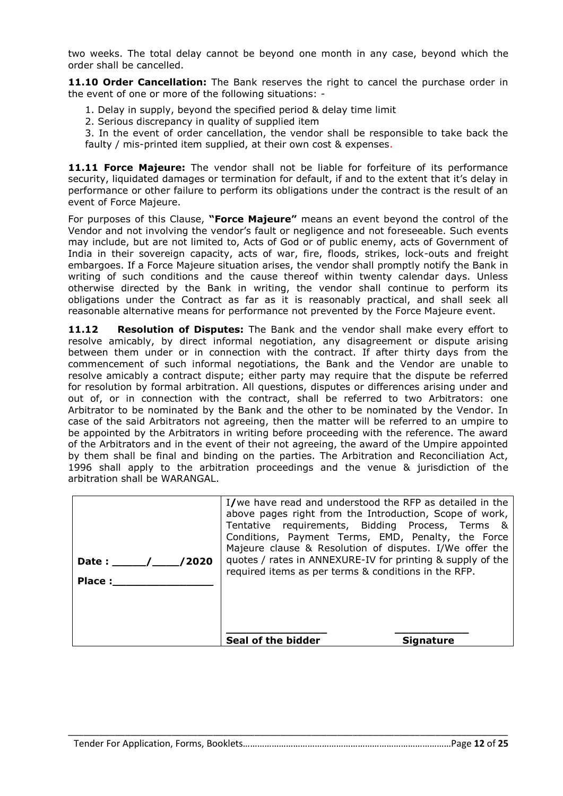two weeks. The total delay cannot be beyond one month in any case, beyond which the order shall be cancelled.

**11.10 Order Cancellation:** The Bank reserves the right to cancel the purchase order in the event of one or more of the following situations:  $\cdot$ 

- 1. Delay in supply, beyond the specified period & delay time limit
- 2. Serious discrepancy in quality of supplied item

3. In the event of order cancellation, the vendor shall be responsible to take back the faulty / mis-printed item supplied, at their own cost & expenses.

**11.11 Force Majeure:** The vendor shall not be liable for forfeiture of its performance security, liquidated damages or termination for default, if and to the extent that it's delay in performance or other failure to perform its obligations under the contract is the result of an event of Force Majeure.

For purposes of this Clause, **"Force Majeure"** means an event beyond the control of the Vendor and not involving the vendor's fault or negligence and not foreseeable. Such events may include, but are not limited to, Acts of God or of public enemy, acts of Government of India in their sovereign capacity, acts of war, fire, floods, strikes, lock-outs and freight embargoes. If a Force Majeure situation arises, the vendor shall promptly notify the Bank in writing of such conditions and the cause thereof within twenty calendar days. Unless otherwise directed by the Bank in writing, the vendor shall continue to perform its obligations under the Contract as far as it is reasonably practical, and shall seek all reasonable alternative means for performance not prevented by the Force Majeure event.

**11.12 Resolution of Disputes:** The Bank and the vendor shall make every effort to resolve amicably, by direct informal negotiation, any disagreement or dispute arising between them under or in connection with the contract. If after thirty days from the commencement of such informal negotiations, the Bank and the Vendor are unable to resolve amicably a contract dispute; either party may require that the dispute be referred for resolution by formal arbitration. All questions, disputes or differences arising under and out of, or in connection with the contract, shall be referred to two Arbitrators: one Arbitrator to be nominated by the Bank and the other to be nominated by the Vendor. In case of the said Arbitrators not agreeing, then the matter will be referred to an umpire to be appointed by the Arbitrators in writing before proceeding with the reference. The award of the Arbitrators and in the event of their not agreeing, the award of the Umpire appointed by them shall be final and binding on the parties. The Arbitration and Reconciliation Act, 1996 shall apply to the arbitration proceedings and the venue & jurisdiction of the arbitration shall be WARANGAL.

| /2020<br>Date: $\sqrt{ }$<br>Place: | I/we have read and understood the RFP as detailed in the<br>above pages right from the Introduction, Scope of work,<br>Tentative requirements, Bidding Process, Terms &<br>Conditions, Payment Terms, EMD, Penalty, the Force<br>Majeure clause & Resolution of disputes. I/We offer the<br>quotes / rates in ANNEXURE-IV for printing & supply of the<br>required items as per terms & conditions in the RFP. |  |
|-------------------------------------|----------------------------------------------------------------------------------------------------------------------------------------------------------------------------------------------------------------------------------------------------------------------------------------------------------------------------------------------------------------------------------------------------------------|--|
|                                     | Seal of the bidder                                                                                                                                                                                                                                                                                                                                                                                             |  |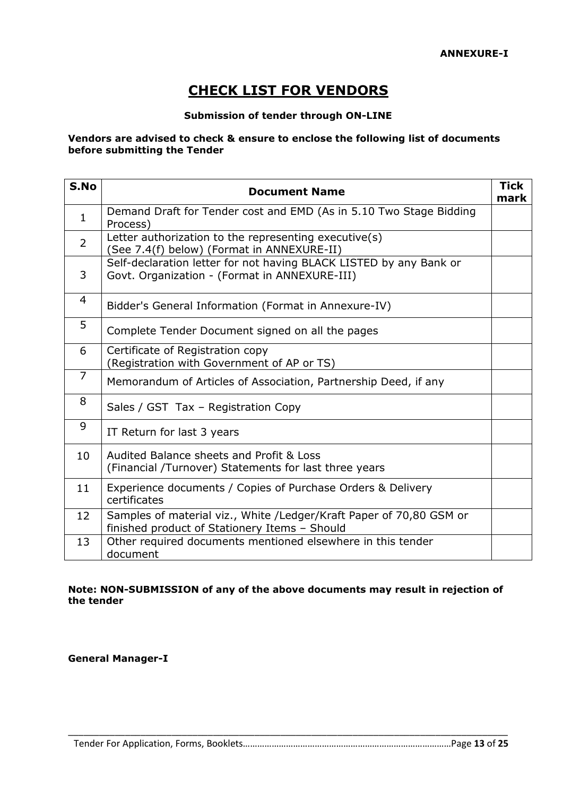# **CHECK LIST FOR VENDORS**

## **Submission of tender through ON-LINE**

#### **Vendors are advised to check & ensure to enclose the following list of documents before submitting the Tender**

| S.No           | <b>Document Name</b>                                                                                                 | <b>Tick</b><br>mark |
|----------------|----------------------------------------------------------------------------------------------------------------------|---------------------|
| $\mathbf{1}$   | Demand Draft for Tender cost and EMD (As in 5.10 Two Stage Bidding<br>Process)                                       |                     |
| $\overline{2}$ | Letter authorization to the representing executive(s)<br>(See 7.4(f) below) (Format in ANNEXURE-II)                  |                     |
| 3              | Self-declaration letter for not having BLACK LISTED by any Bank or<br>Govt. Organization - (Format in ANNEXURE-III)  |                     |
| 4              | Bidder's General Information (Format in Annexure-IV)                                                                 |                     |
| 5              | Complete Tender Document signed on all the pages                                                                     |                     |
| 6              | Certificate of Registration copy<br>(Registration with Government of AP or TS)                                       |                     |
| $\overline{7}$ | Memorandum of Articles of Association, Partnership Deed, if any                                                      |                     |
| 8              | Sales / GST Tax - Registration Copy                                                                                  |                     |
| 9              | IT Return for last 3 years                                                                                           |                     |
| 10             | Audited Balance sheets and Profit & Loss<br>(Financial /Turnover) Statements for last three years                    |                     |
| 11             | Experience documents / Copies of Purchase Orders & Delivery<br>certificates                                          |                     |
| 12             | Samples of material viz., White /Ledger/Kraft Paper of 70,80 GSM or<br>finished product of Stationery Items - Should |                     |
| 13             | Other required documents mentioned elsewhere in this tender<br>document                                              |                     |

#### **Note: NON-SUBMISSION of any of the above documents may result in rejection of the tender**

**General Manager-I**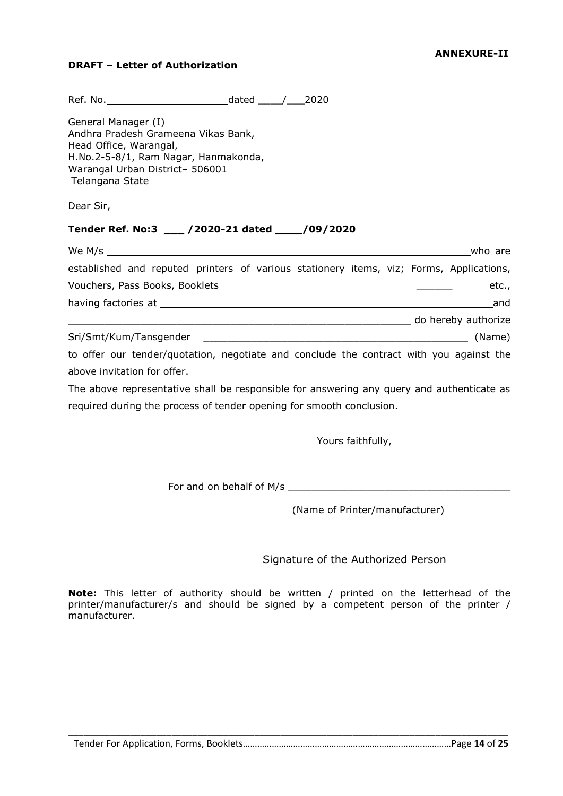## **DRAFT – Letter of Authorization**

| General Manager (I)<br>Andhra Pradesh Grameena Vikas Bank,<br>Head Office, Warangal,<br>H.No.2-5-8/1, Ram Nagar, Hanmakonda,<br>Warangal Urban District- 506001<br>Telangana State |         |
|------------------------------------------------------------------------------------------------------------------------------------------------------------------------------------|---------|
| Dear Sir,                                                                                                                                                                          |         |
| Tender Ref. No:3 ___ /2020-21 dated ___ /09/2020                                                                                                                                   |         |
|                                                                                                                                                                                    | who are |
| established and reputed printers of various stationery items, viz; Forms, Applications,                                                                                            |         |
|                                                                                                                                                                                    |         |
|                                                                                                                                                                                    |         |
|                                                                                                                                                                                    |         |
|                                                                                                                                                                                    |         |
|                                                                                                                                                                                    |         |

The above representative shall be responsible for answering any query and authenticate as required during the process of tender opening for smooth conclusion.

Yours faithfully,

For and on behalf of M/s \_\_\_\_\_\_\_\_\_\_\_\_\_\_\_\_\_\_\_\_\_\_\_\_\_\_\_\_\_\_\_\_\_\_\_\_\_

(Name of Printer/manufacturer)

Signature of the Authorized Person

**Note:** This letter of authority should be written / printed on the letterhead of the printer/manufacturer/s and should be signed by a competent person of the printer / manufacturer.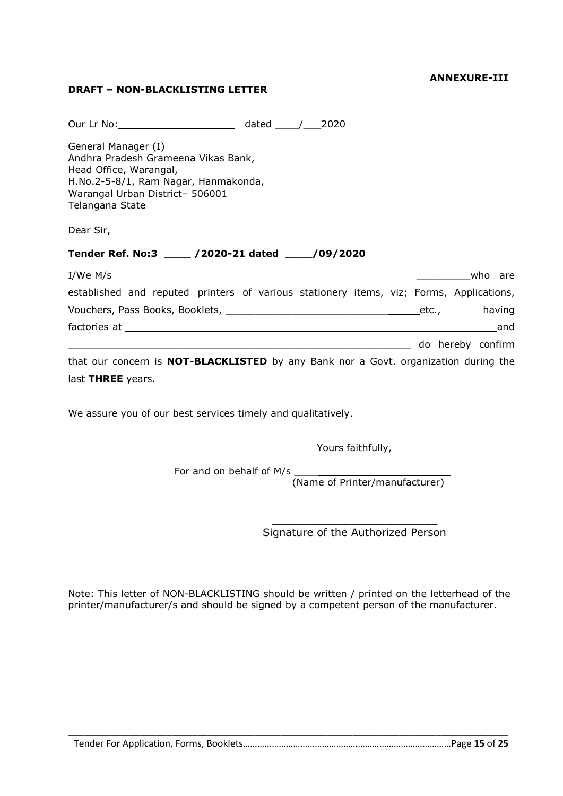#### **ANNEXURE-III**

# **DRAFT – NON-BLACKLISTING LETTER**

| Our Lr No: 2020                                                                                                                                                                    |  |  |  |         |
|------------------------------------------------------------------------------------------------------------------------------------------------------------------------------------|--|--|--|---------|
| General Manager (I)<br>Andhra Pradesh Grameena Vikas Bank,<br>Head Office, Warangal,<br>H.No.2-5-8/1, Ram Nagar, Hanmakonda,<br>Warangal Urban District- 506001<br>Telangana State |  |  |  |         |
| Dear Sir,                                                                                                                                                                          |  |  |  |         |
| Tender Ref. No:3 ____ /2020-21 dated ____/09/2020                                                                                                                                  |  |  |  |         |
|                                                                                                                                                                                    |  |  |  | who are |
| established and reputed printers of various stationery items, viz; Forms, Applications,                                                                                            |  |  |  |         |
| Vouchers, Pass Books, Booklets, Language Communication and Communication of the Maring                                                                                             |  |  |  |         |
|                                                                                                                                                                                    |  |  |  | and     |
|                                                                                                                                                                                    |  |  |  |         |
| that our concern is <b>NOT-BLACKLISTED</b> by any Bank nor a Govt. organization during the                                                                                         |  |  |  |         |
| last THREE years.                                                                                                                                                                  |  |  |  |         |

We assure you of our best services timely and qualitatively.

Yours faithfully,

For and on behalf of M/s \_\_\_\_\_\_\_\_\_\_\_\_\_\_\_\_\_\_\_\_\_\_\_\_\_\_

(Name of Printer/manufacturer)

 $\mathcal{L}_\mathcal{L}$  , where  $\mathcal{L}_\mathcal{L}$  is the set of the set of the set of the set of the set of the set of the set of the set of the set of the set of the set of the set of the set of the set of the set of the set of the Signature of the Authorized Person

Note: This letter of NON-BLACKLISTING should be written / printed on the letterhead of the printer/manufacturer/s and should be signed by a competent person of the manufacturer.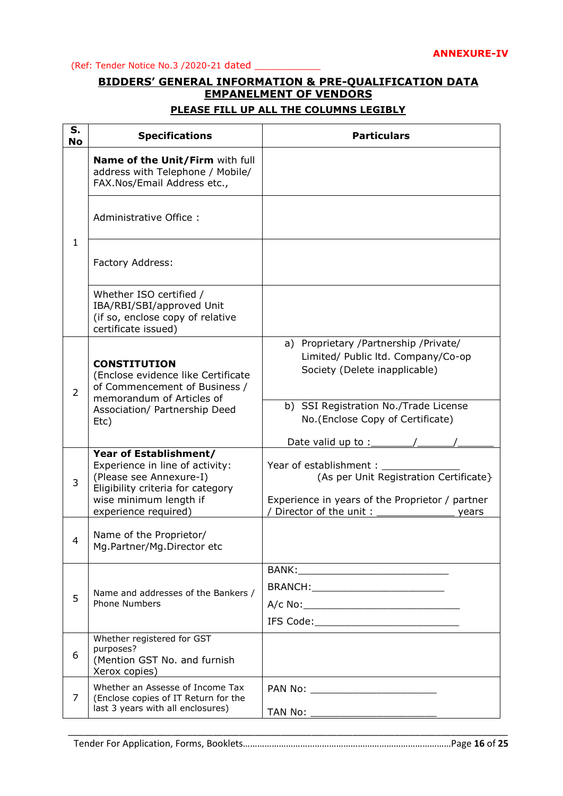(Ref: Tender Notice No.3 /2020-21 dated \_\_\_\_\_\_\_\_\_\_\_

# **BIDDERS' GENERAL INFORMATION & PRE-QUALIFICATION DATA EMPANELMENT OF VENDORS**

# **PLEASE FILL UP ALL THE COLUMNS LEGIBLY**

| S.<br><b>No</b> | <b>Specifications</b>                                                                                                                                                       | <b>Particulars</b>                                                                                                                                    |
|-----------------|-----------------------------------------------------------------------------------------------------------------------------------------------------------------------------|-------------------------------------------------------------------------------------------------------------------------------------------------------|
|                 | Name of the Unit/Firm with full<br>address with Telephone / Mobile/<br>FAX.Nos/Email Address etc.,                                                                          |                                                                                                                                                       |
|                 | Administrative Office:                                                                                                                                                      |                                                                                                                                                       |
| $\mathbf{1}$    | Factory Address:                                                                                                                                                            |                                                                                                                                                       |
|                 | Whether ISO certified /<br>IBA/RBI/SBI/approved Unit<br>(if so, enclose copy of relative<br>certificate issued)                                                             |                                                                                                                                                       |
| $\overline{2}$  | <b>CONSTITUTION</b><br>(Enclose evidence like Certificate<br>of Commencement of Business /<br>memorandum of Articles of                                                     | a) Proprietary /Partnership /Private/<br>Limited/ Public ltd. Company/Co-op<br>Society (Delete inapplicable)                                          |
|                 | Association/ Partnership Deed<br>Etc)                                                                                                                                       | b) SSI Registration No./Trade License<br>No. (Enclose Copy of Certificate)<br>Date valid up to :___                                                   |
| 3               | Year of Establishment/<br>Experience in line of activity:<br>(Please see Annexure-I)<br>Eligibility criteria for category<br>wise minimum length if<br>experience required) | Year of establishment:<br>(As per Unit Registration Certificate}<br>Experience in years of the Proprietor / partner<br>Director of the unit:<br>years |
| 4               | Name of the Proprietor/<br>Mg.Partner/Mg.Director etc                                                                                                                       |                                                                                                                                                       |
| 5               | Name and addresses of the Bankers /<br><b>Phone Numbers</b>                                                                                                                 | BRANCH: ____________________________                                                                                                                  |
| 6               | Whether registered for GST<br>purposes?<br>(Mention GST No. and furnish<br>Xerox copies)                                                                                    |                                                                                                                                                       |
| 7               | Whether an Assesse of Income Tax<br>(Enclose copies of IT Return for the<br>last 3 years with all enclosures)                                                               | TAN No:                                                                                                                                               |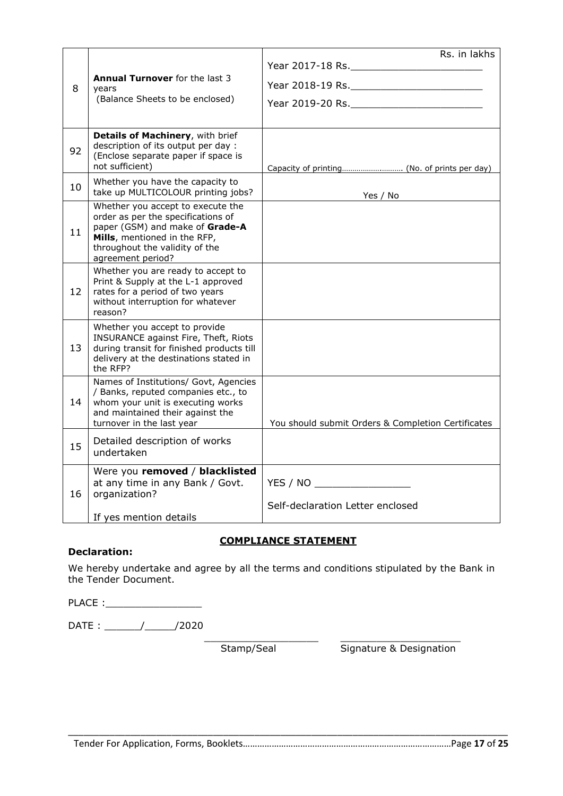|    |                                                                                                                                                                                                   | Rs. in lakhs                                                                                                    |
|----|---------------------------------------------------------------------------------------------------------------------------------------------------------------------------------------------------|-----------------------------------------------------------------------------------------------------------------|
| 8  | <b>Annual Turnover</b> for the last 3<br>years<br>(Balance Sheets to be enclosed)                                                                                                                 |                                                                                                                 |
| 92 | Details of Machinery, with brief<br>description of its output per day:<br>(Enclose separate paper if space is<br>not sufficient)                                                                  |                                                                                                                 |
| 10 | Whether you have the capacity to<br>take up MULTICOLOUR printing jobs?                                                                                                                            | Yes / No contract the Sea of the Sea of the Sea of the Sea of the Sea of the Sea of the Sea of the Sea of the S |
| 11 | Whether you accept to execute the<br>order as per the specifications of<br>paper (GSM) and make of Grade-A<br>Mills, mentioned in the RFP,<br>throughout the validity of the<br>agreement period? |                                                                                                                 |
| 12 | Whether you are ready to accept to<br>Print & Supply at the L-1 approved<br>rates for a period of two years<br>without interruption for whatever<br>reason?                                       |                                                                                                                 |
| 13 | Whether you accept to provide<br>INSURANCE against Fire, Theft, Riots<br>during transit for finished products till<br>delivery at the destinations stated in<br>the RFP?                          |                                                                                                                 |
| 14 | Names of Institutions/ Govt, Agencies<br>/ Banks, reputed companies etc., to<br>whom your unit is executing works<br>and maintained their against the<br>turnover in the last year                | You should submit Orders & Completion Certificates                                                              |
| 15 | Detailed description of works<br>undertaken                                                                                                                                                       |                                                                                                                 |
| 16 | Were you removed / blacklisted<br>at any time in any Bank / Govt.<br>organization?<br>If yes mention details                                                                                      | YES / NO<br>Self-declaration Letter enclosed                                                                    |

## **COMPLIANCE STATEMENT**

## **Declaration:**

We hereby undertake and agree by all the terms and conditions stipulated by the Bank in the Tender Document.

PLACE :\_\_\_\_\_\_\_\_\_\_\_\_\_\_\_\_

DATE : \_\_\_\_\_\_/\_\_\_\_\_/2020

\_\_\_\_\_\_\_\_\_\_\_\_\_\_\_\_\_\_\_ \_\_\_\_\_\_\_\_\_\_\_\_\_\_\_\_\_\_\_\_ Stamp/Seal Signature & Designation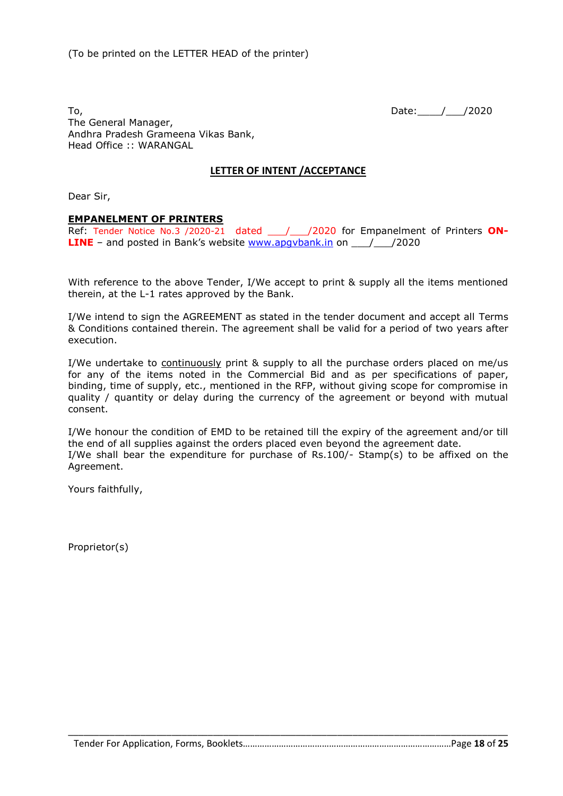To, 2020 The General Manager, Andhra Pradesh Grameena Vikas Bank, Head Office :: WARANGAL

## **LETTER OF INTENT /ACCEPTANCE**

Dear Sir,

#### **EMPANELMENT OF PRINTERS**

Ref: Tender Notice No.3 /2020-21 dated 1/2020 for Empanelment of Printers ON-**LINE** – and posted in Bank's website **[www.apgvbank.in](http://www.apgvbank.in/)** on \_\_\_/\_\_\_/2020

With reference to the above Tender, I/We accept to print & supply all the items mentioned therein, at the L-1 rates approved by the Bank.

I/We intend to sign the AGREEMENT as stated in the tender document and accept all Terms & Conditions contained therein. The agreement shall be valid for a period of two years after execution.

I/We undertake to continuously print & supply to all the purchase orders placed on me/us for any of the items noted in the Commercial Bid and as per specifications of paper, binding, time of supply, etc., mentioned in the RFP, without giving scope for compromise in quality / quantity or delay during the currency of the agreement or beyond with mutual consent.

I/We honour the condition of EMD to be retained till the expiry of the agreement and/or till the end of all supplies against the orders placed even beyond the agreement date. I/We shall bear the expenditure for purchase of Rs.100/- Stamp(s) to be affixed on the Agreement.

Yours faithfully,

Proprietor(s)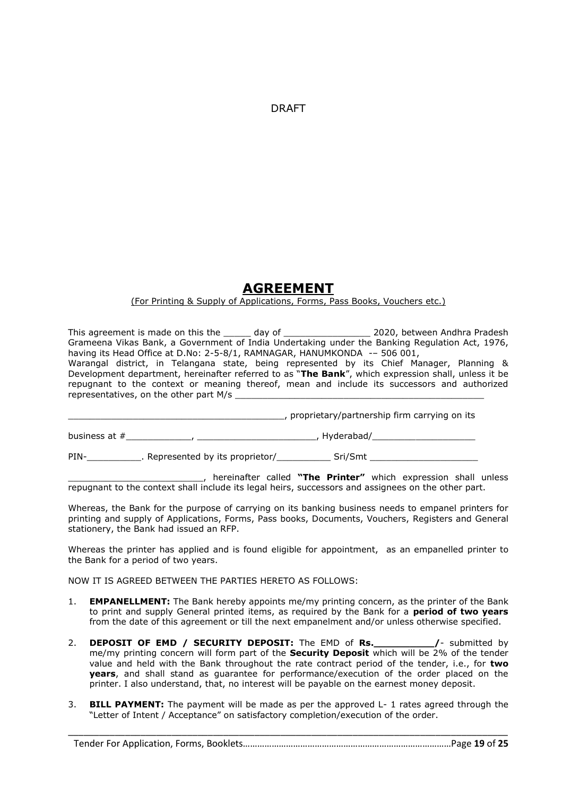DRAFT

# **AGREEMENT**

#### (For Printing & Supply of Applications, Forms, Pass Books, Vouchers etc.)

This agreement is made on this the \_\_\_\_\_ day of \_\_\_\_\_\_\_\_\_\_\_\_\_\_\_\_\_\_\_\_ 2020, between Andhra Pradesh Grameena Vikas Bank, a Government of India Undertaking under the Banking Regulation Act, 1976, having its Head Office at D.No: 2-5-8/1, RAMNAGAR, HANUMKONDA -– 506 001, Warangal district, in Telangana state, being represented by its Chief Manager, Planning & Development department, hereinafter referred to as "**The Bank**", which expression shall, unless it be repugnant to the context or meaning thereof, mean and include its successors and authorized representatives, on the other part M/s

\_\_\_\_\_\_\_\_\_\_\_\_\_\_\_\_\_\_\_\_\_\_\_\_\_\_\_\_\_\_\_\_\_\_\_\_\_\_\_\_, proprietary/partnership firm carrying on its

business at #\_\_\_\_\_\_\_\_\_\_\_\_, \_\_\_\_\_\_\_\_\_\_\_\_\_\_\_\_\_\_\_\_\_\_, Hyderabad/\_\_\_\_\_\_\_\_\_\_\_\_\_\_\_\_\_\_\_

PIN-\_\_\_\_\_\_\_\_\_\_\_\_\_. Represented by its proprietor/\_\_\_\_\_\_\_\_\_\_\_\_\_\_ Sri/Smt \_\_\_

\_\_\_\_\_\_\_\_\_\_\_\_\_\_\_\_\_\_\_\_\_\_\_\_\_, hereinafter called **"The Printer"** which expression shall unless repugnant to the context shall include its legal heirs, successors and assignees on the other part.

Whereas, the Bank for the purpose of carrying on its banking business needs to empanel printers for printing and supply of Applications, Forms, Pass books, Documents, Vouchers, Registers and General stationery, the Bank had issued an RFP.

Whereas the printer has applied and is found eligible for appointment, as an empanelled printer to the Bank for a period of two years.

NOW IT IS AGREED BETWEEN THE PARTIES HERETO AS FOLLOWS:

- 1. **EMPANELLMENT:** The Bank hereby appoints me/my printing concern, as the printer of the Bank to print and supply General printed items, as required by the Bank for a **period of two years** from the date of this agreement or till the next empanelment and/or unless otherwise specified.
- 2. **DEPOSIT OF EMD / SECURITY DEPOSIT:** The EMD of **Rs.\_\_\_\_\_\_\_\_\_\_/** submitted by me/my printing concern will form part of the **Security Deposit** which will be 2% of the tender value and held with the Bank throughout the rate contract period of the tender, i.e., for **two years**, and shall stand as guarantee for performance/execution of the order placed on the printer. I also understand, that, no interest will be payable on the earnest money deposit.
- 3. **BILL PAYMENT:** The payment will be made as per the approved L- 1 rates agreed through the "Letter of Intent / Acceptance" on satisfactory completion/execution of the order.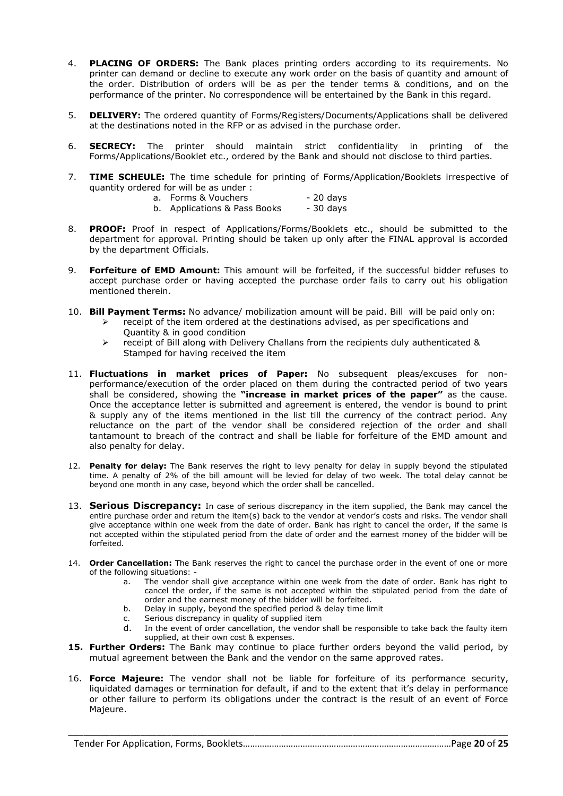- 4. **PLACING OF ORDERS:** The Bank places printing orders according to its requirements. No printer can demand or decline to execute any work order on the basis of quantity and amount of the order. Distribution of orders will be as per the tender terms & conditions, and on the performance of the printer. No correspondence will be entertained by the Bank in this regard.
- 5. **DELIVERY:** The ordered quantity of Forms/Registers/Documents/Applications shall be delivered at the destinations noted in the RFP or as advised in the purchase order.
- 6. **SECRECY:** The printer should maintain strict confidentiality in printing of the Forms/Applications/Booklet etc., ordered by the Bank and should not disclose to third parties.
- 7. **TIME SCHEULE:** The time schedule for printing of Forms/Application/Booklets irrespective of quantity ordered for will be as under :
	- a. Forms & Vouchers 20 days
	- b. Applications & Pass Books 30 days
- 8. **PROOF:** Proof in respect of Applications/Forms/Booklets etc., should be submitted to the department for approval. Printing should be taken up only after the FINAL approval is accorded by the department Officials.
- 9. **Forfeiture of EMD Amount:** This amount will be forfeited, if the successful bidder refuses to accept purchase order or having accepted the purchase order fails to carry out his obligation mentioned therein.
- 10. **Bill Payment Terms:** No advance/ mobilization amount will be paid. Bill will be paid only on:
	- $\triangleright$  receipt of the item ordered at the destinations advised, as per specifications and Quantity & in good condition
	- $\triangleright$  receipt of Bill along with Delivery Challans from the recipients duly authenticated & Stamped for having received the item
- 11. **Fluctuations in market prices of Paper:** No subsequent pleas/excuses for nonperformance/execution of the order placed on them during the contracted period of two years shall be considered, showing the **"increase in market prices of the paper"** as the cause. Once the acceptance letter is submitted and agreement is entered, the vendor is bound to print & supply any of the items mentioned in the list till the currency of the contract period. Any reluctance on the part of the vendor shall be considered rejection of the order and shall tantamount to breach of the contract and shall be liable for forfeiture of the EMD amount and also penalty for delay.
- 12. **Penalty for delay:** The Bank reserves the right to levy penalty for delay in supply beyond the stipulated time. A penalty of 2% of the bill amount will be levied for delay of two week. The total delay cannot be beyond one month in any case, beyond which the order shall be cancelled.
- 13. **Serious Discrepancy:** In case of serious discrepancy in the item supplied, the Bank may cancel the entire purchase order and return the item(s) back to the vendor at vendor's costs and risks. The vendor shall give acceptance within one week from the date of order. Bank has right to cancel the order, if the same is not accepted within the stipulated period from the date of order and the earnest money of the bidder will be forfeited.
- 14. **Order Cancellation:** The Bank reserves the right to cancel the purchase order in the event of one or more of the following situations:
	- a. The vendor shall give acceptance within one week from the date of order. Bank has right to cancel the order, if the same is not accepted within the stipulated period from the date of order and the earnest money of the bidder will be forfeited.
	- b. Delay in supply, beyond the specified period & delay time limit
	- c. Serious discrepancy in quality of supplied item
	- d. In the event of order cancellation, the vendor shall be responsible to take back the faulty item supplied, at their own cost & expenses.
- **15. Further Orders:** The Bank may continue to place further orders beyond the valid period, by mutual agreement between the Bank and the vendor on the same approved rates.
- 16. **Force Majeure:** The vendor shall not be liable for forfeiture of its performance security, liquidated damages or termination for default, if and to the extent that it's delay in performance or other failure to perform its obligations under the contract is the result of an event of Force Majeure.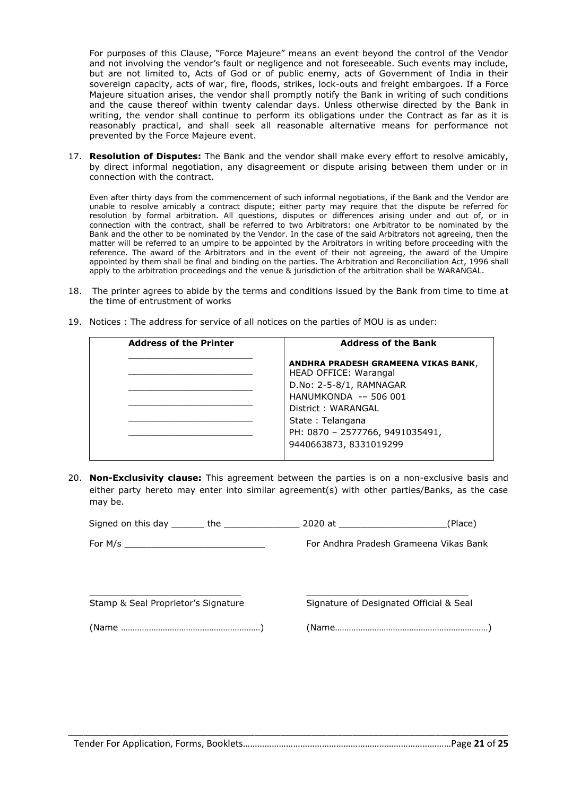For purposes of this Clause, "Force Majeure" means an event beyond the control of the Vendor and not involving the vendor's fault or negligence and not foreseeable. Such events may include, but are not limited to, Acts of God or of public enemy, acts of Government of India in their sovereign capacity, acts of war, fire, floods, strikes, lock-outs and freight embargoes. If a Force Majeure situation arises, the vendor shall promptly notify the Bank in writing of such conditions and the cause thereof within twenty calendar days. Unless otherwise directed by the Bank in writing, the vendor shall continue to perform its obligations under the Contract as far as it is reasonably practical, and shall seek all reasonable alternative means for performance not prevented by the Force Majeure event.

17. **Resolution of Disputes:** The Bank and the vendor shall make every effort to resolve amicably, by direct informal negotiation, any disagreement or dispute arising between them under or in connection with the contract.

Even after thirty days from the commencement of such informal negotiations, if the Bank and the Vendor are unable to resolve amicably a contract dispute; either party may require that the dispute be referred for resolution by formal arbitration. All questions, disputes or differences arising under and out of, or in connection with the contract, shall be referred to two Arbitrators: one Arbitrator to be nominated by the Bank and the other to be nominated by the Vendor. In the case of the said Arbitrators not agreeing, then the matter will be referred to an umpire to be appointed by the Arbitrators in writing before proceeding with the reference. The award of the Arbitrators and in the event of their not agreeing, the award of the Umpire appointed by them shall be final and binding on the parties. The Arbitration and Reconciliation Act, 1996 shall apply to the arbitration proceedings and the venue & jurisdiction of the arbitration shall be WARANGAL.

18. The printer agrees to abide by the terms and conditions issued by the Bank from time to time at the time of entrustment of works

| <b>Address of the Bank</b>                                   |
|--------------------------------------------------------------|
| ANDHRA PRADESH GRAMEENA VIKAS BANK,<br>HEAD OFFICE: Warangal |
| D.No: 2-5-8/1, RAMNAGAR                                      |
| HANUMKONDA -- 506 001                                        |
| District: WARANGAL                                           |
| State: Telangana                                             |
| PH: 0870 - 2577766, 9491035491,<br>9440663873, 8331019299    |
|                                                              |

19. Notices : The address for service of all notices on the parties of MOU is as under:

20. **Non-Exclusivity clause:** This agreement between the parties is on a non-exclusive basis and either party hereto may enter into similar agreement(s) with other parties/Banks, as the case may be.

| Signed on this day<br>the | 2020 at | (Place)                                |
|---------------------------|---------|----------------------------------------|
| For M/s                   |         | For Andhra Pradesh Grameena Vikas Bank |

 $\Box$ 

Stamp & Seal Proprietor's Signature Signature Signature of Designated Official & Seal

(Name ……………………………………………………) (Name…………………………………………………………)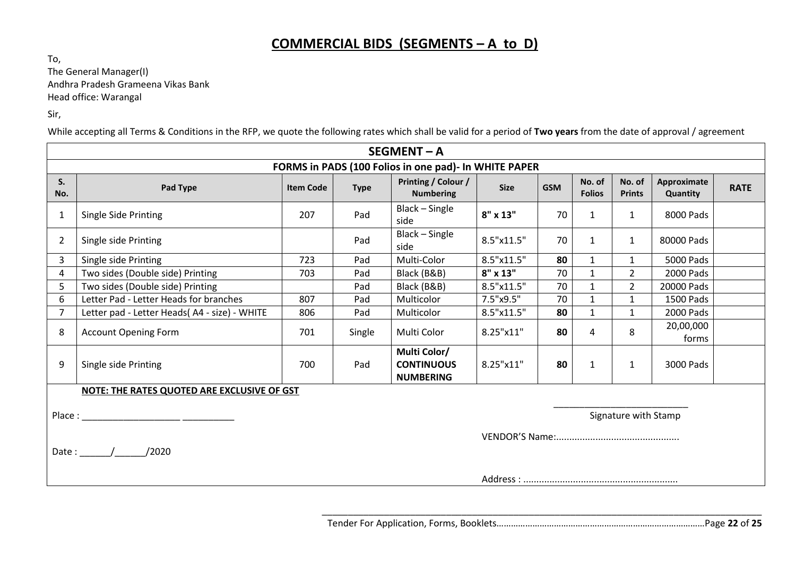# **COMMERCIAL BIDS (SEGMENTS – A to D)**

To, The General Manager(I) Andhra Pradesh Grameena Vikas Bank Head office: Warangal

Sir,

While accepting all Terms & Conditions in the RFP, we quote the following rates which shall be valid for a period of **Two years** from the date of approval / agreement

|                | <b>SEGMENT-A</b>                                      |                  |             |                                                       |             |            |                         |                         |                         |             |
|----------------|-------------------------------------------------------|------------------|-------------|-------------------------------------------------------|-------------|------------|-------------------------|-------------------------|-------------------------|-------------|
|                | FORMS in PADS (100 Folios in one pad)- In WHITE PAPER |                  |             |                                                       |             |            |                         |                         |                         |             |
| S.<br>No.      | Pad Type                                              | <b>Item Code</b> | <b>Type</b> | Printing / Colour /<br><b>Numbering</b>               | <b>Size</b> | <b>GSM</b> | No. of<br><b>Folios</b> | No. of<br><b>Prints</b> | Approximate<br>Quantity | <b>RATE</b> |
| $\mathbf 1$    | Single Side Printing                                  | 207              | Pad         | Black - Single<br>side                                | 8" x 13"    | 70         | 1                       | $\mathbf{1}$            | 8000 Pads               |             |
| $\overline{2}$ | Single side Printing                                  |                  | Pad         | Black - Single<br>side                                | 8.5"x11.5"  | 70         | 1                       | $\mathbf{1}$            | 80000 Pads              |             |
| 3              | Single side Printing                                  | 723              | Pad         | Multi-Color                                           | 8.5"x11.5"  | 80         | $\mathbf{1}$            | $\mathbf{1}$            | <b>5000 Pads</b>        |             |
| 4              | Two sides (Double side) Printing                      | 703              | Pad         | Black (B&B)                                           | 8" x 13"    | 70         | $\mathbf{1}$            | $\overline{2}$          | 2000 Pads               |             |
| 5              | Two sides (Double side) Printing                      |                  | Pad         | Black (B&B)                                           | 8.5"x11.5"  | 70         | $\mathbf{1}$            | $\overline{2}$          | 20000 Pads              |             |
| 6              | Letter Pad - Letter Heads for branches                | 807              | Pad         | Multicolor                                            | 7.5"x9.5"   | 70         | 1                       | 1                       | 1500 Pads               |             |
| $\overline{7}$ | Letter pad - Letter Heads(A4 - size) - WHITE          | 806              | Pad         | Multicolor                                            | 8.5"x11.5"  | 80         | $\mathbf{1}$            | $\mathbf{1}$            | 2000 Pads               |             |
| 8              | <b>Account Opening Form</b>                           | 701              | Single      | Multi Color                                           | 8.25"x11"   | 80         | 4                       | 8                       | 20,00,000<br>forms      |             |
| 9              | Single side Printing                                  | 700              | Pad         | Multi Color/<br><b>CONTINUOUS</b><br><b>NUMBERING</b> | 8.25"x11"   | 80         | $\mathbf{1}$            | 1                       | 3000 Pads               |             |
|                | NOTE: THE RATES QUOTED ARE EXCLUSIVE OF GST           |                  |             |                                                       |             |            |                         |                         |                         |             |
| Place:         |                                                       |                  |             |                                                       |             |            |                         | Signature with Stamp    |                         |             |
|                |                                                       |                  |             |                                                       |             |            |                         |                         |                         |             |
|                | Date: $/$<br>/2020                                    |                  |             |                                                       |             |            |                         |                         |                         |             |
|                |                                                       |                  |             |                                                       |             |            |                         |                         |                         |             |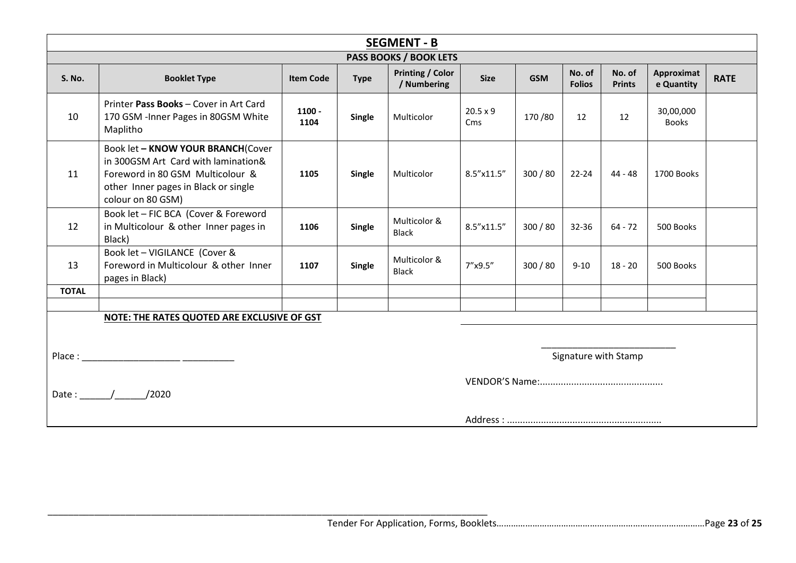|               | <b>SEGMENT - B</b>                                                                                                                                                        |                  |               |                                        |                        |            |                         |                         |                                 |             |
|---------------|---------------------------------------------------------------------------------------------------------------------------------------------------------------------------|------------------|---------------|----------------------------------------|------------------------|------------|-------------------------|-------------------------|---------------------------------|-------------|
|               | PASS BOOKS / BOOK LETS                                                                                                                                                    |                  |               |                                        |                        |            |                         |                         |                                 |             |
| <b>S. No.</b> | <b>Booklet Type</b>                                                                                                                                                       | <b>Item Code</b> | <b>Type</b>   | <b>Printing / Color</b><br>/ Numbering | <b>Size</b>            | <b>GSM</b> | No. of<br><b>Folios</b> | No. of<br><b>Prints</b> | <b>Approximat</b><br>e Quantity | <b>RATE</b> |
| 10            | Printer Pass Books - Cover in Art Card<br>170 GSM - Inner Pages in 80GSM White<br>Maplitho                                                                                | $1100 -$<br>1104 | Single        | Multicolor                             | $20.5 \times 9$<br>Cms | 170/80     | 12                      | 12                      | 30,00,000<br><b>Books</b>       |             |
| 11            | Book let - KNOW YOUR BRANCH(Cover<br>in 300GSM Art Card with lamination&<br>Foreword in 80 GSM Multicolour &<br>other Inner pages in Black or single<br>colour on 80 GSM) | 1105             | Single        | Multicolor                             | $8.5''$ x11.5"         | 300 / 80   | $22 - 24$               | 44 - 48                 | 1700 Books                      |             |
| 12            | Book let - FIC BCA (Cover & Foreword<br>in Multicolour & other Inner pages in<br>Black)                                                                                   | 1106             | <b>Single</b> | Multicolor &<br><b>Black</b>           | 8.5"x11.5"             | 300 / 80   | $32 - 36$               | $64 - 72$               | 500 Books                       |             |
| 13            | Book let - VIGILANCE (Cover &<br>Foreword in Multicolour & other Inner<br>pages in Black)                                                                                 | 1107             | Single        | Multicolor &<br><b>Black</b>           | 7"x9.5"                | 300 / 80   | $9 - 10$                | $18 - 20$               | 500 Books                       |             |
| <b>TOTAL</b>  |                                                                                                                                                                           |                  |               |                                        |                        |            |                         |                         |                                 |             |
|               |                                                                                                                                                                           |                  |               |                                        |                        |            |                         |                         |                                 |             |
|               | NOTE: THE RATES QUOTED ARE EXCLUSIVE OF GST                                                                                                                               |                  |               |                                        |                        |            |                         |                         |                                 |             |
|               |                                                                                                                                                                           |                  |               |                                        |                        |            |                         |                         |                                 |             |
|               |                                                                                                                                                                           |                  |               |                                        |                        |            |                         | Signature with Stamp    |                                 |             |
|               |                                                                                                                                                                           |                  |               |                                        |                        |            |                         |                         |                                 |             |
| Date: $/$     | /2020                                                                                                                                                                     |                  |               |                                        |                        |            |                         |                         |                                 |             |
|               |                                                                                                                                                                           |                  |               |                                        |                        |            |                         |                         |                                 |             |
|               |                                                                                                                                                                           |                  |               |                                        |                        |            |                         |                         |                                 |             |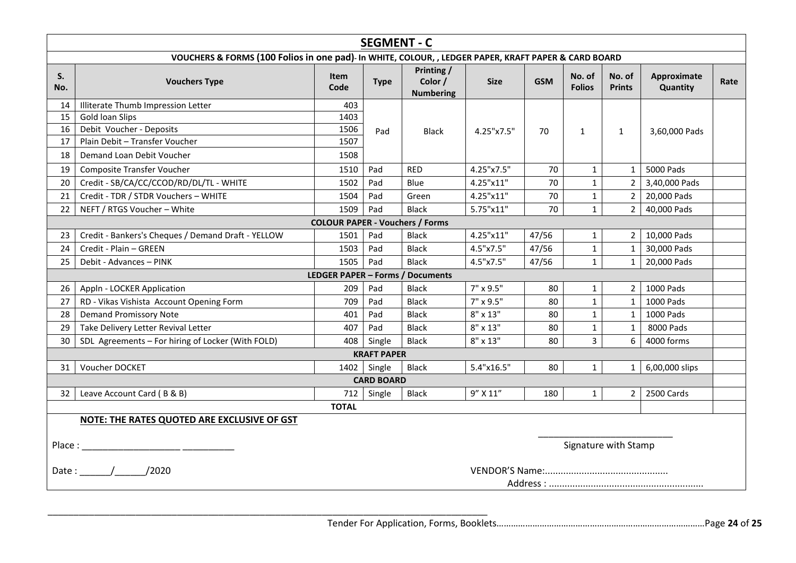|           |                                                                                                      |              | <b>SEGMENT - C</b> |                                           |                 |            |                         |                         |                         |      |
|-----------|------------------------------------------------------------------------------------------------------|--------------|--------------------|-------------------------------------------|-----------------|------------|-------------------------|-------------------------|-------------------------|------|
|           | VOUCHERS & FORMS (100 Folios in one pad)- In WHITE, COLOUR, , LEDGER PAPER, KRAFT PAPER & CARD BOARD |              |                    |                                           |                 |            |                         |                         |                         |      |
| S.<br>No. | <b>Vouchers Type</b>                                                                                 | Item<br>Code | <b>Type</b>        | Printing /<br>Color /<br><b>Numbering</b> | <b>Size</b>     | <b>GSM</b> | No. of<br><b>Folios</b> | No. of<br><b>Prints</b> | Approximate<br>Quantity | Rate |
| 14        | Illiterate Thumb Impression Letter                                                                   | 403          |                    |                                           |                 |            |                         |                         |                         |      |
| 15        | Gold loan Slips                                                                                      | 1403         |                    |                                           |                 |            |                         |                         |                         |      |
| 16        | Debit Voucher - Deposits                                                                             | 1506         | Pad                | <b>Black</b>                              | 4.25"x7.5"      | 70         | $\mathbf{1}$            | $\mathbf{1}$            | 3,60,000 Pads           |      |
| 17        | Plain Debit - Transfer Voucher                                                                       | 1507         |                    |                                           |                 |            |                         |                         |                         |      |
| 18        | Demand Loan Debit Voucher                                                                            | 1508         |                    |                                           |                 |            |                         |                         |                         |      |
| 19        | Composite Transfer Voucher                                                                           | 1510         | Pad                | <b>RED</b>                                | 4.25"x7.5"      | 70         | 1                       | $\mathbf{1}$            | 5000 Pads               |      |
| 20        | Credit - SB/CA/CC/CCOD/RD/DL/TL - WHITE                                                              | 1502         | Pad                | Blue                                      | 4.25"x11"       | 70         | $\mathbf{1}$            | $2^{\circ}$             | 3,40,000 Pads           |      |
| 21        | Credit - TDR / STDR Vouchers - WHITE                                                                 | 1504         | Pad                | Green                                     | 4.25"x11"       | 70         | $\mathbf{1}$            | 2 <sup>1</sup>          | 20,000 Pads             |      |
| 22        | NEFT / RTGS Voucher - White                                                                          | 1509         | Pad                | <b>Black</b>                              | 5.75"x11"       | 70         | $\mathbf{1}$            | $2^{\circ}$             | 40,000 Pads             |      |
|           |                                                                                                      |              |                    | <b>COLOUR PAPER - Vouchers / Forms</b>    |                 |            |                         |                         |                         |      |
| 23        | Credit - Bankers's Cheques / Demand Draft - YELLOW                                                   | 1501         | Pad                | <b>Black</b>                              | 4.25"x11"       | 47/56      | $\mathbf{1}$            |                         | 2   10,000 Pads         |      |
| 24        | Credit - Plain - GREEN                                                                               | 1503         | Pad                | <b>Black</b>                              | 4.5"x7.5"       | 47/56      | $\mathbf{1}$            | $1 \mid$                | 30,000 Pads             |      |
| 25        | Debit - Advances - PINK                                                                              | 1505         | Pad                | <b>Black</b>                              | 4.5"x7.5"       | 47/56      | $\mathbf{1}$            |                         | 1 20,000 Pads           |      |
|           |                                                                                                      |              |                    | <b>LEDGER PAPER - Forms / Documents</b>   |                 |            |                         |                         |                         |      |
| 26        | Appln - LOCKER Application                                                                           | 209          | Pad                | <b>Black</b>                              | 7" x 9.5"       | 80         | $\mathbf{1}$            | $\overline{2}$          | 1000 Pads               |      |
| 27        | RD - Vikas Vishista Account Opening Form                                                             | 709          | Pad                | <b>Black</b>                              | 7" x 9.5"       | 80         | $\mathbf{1}$            | $\mathbf{1}$            | 1000 Pads               |      |
| 28        | <b>Demand Promissory Note</b>                                                                        | 401          | Pad                | <b>Black</b>                              | $8" \times 13"$ | 80         | $\mathbf{1}$            | $\mathbf{1}$            | 1000 Pads               |      |
| 29        | Take Delivery Letter Revival Letter                                                                  | 407          | Pad                | <b>Black</b>                              | $8" \times 13"$ | 80         | $1\,$                   | $\mathbf{1}$            | 8000 Pads               |      |
| 30        | SDL Agreements - For hiring of Locker (With FOLD)                                                    | 408          | Single             | <b>Black</b>                              | $8" \times 13"$ | 80         | 3                       | 6                       | 4000 forms              |      |
|           |                                                                                                      |              | <b>KRAFT PAPER</b> |                                           |                 |            |                         |                         |                         |      |
| 31        | Voucher DOCKET                                                                                       |              | 1402 Single        | <b>Black</b>                              | 5.4"x16.5"      | 80         | $\mathbf{1}$            | 1 <sup>1</sup>          | 6,00,000 slips          |      |
|           |                                                                                                      |              | <b>CARD BOARD</b>  |                                           |                 |            |                         |                         |                         |      |
| 32        | Leave Account Card (B & B)                                                                           | 712          | Single             | <b>Black</b>                              | 9" X 11"        | 180        | $\mathbf{1}$            | $\overline{2}$          | 2500 Cards              |      |
|           |                                                                                                      | <b>TOTAL</b> |                    |                                           |                 |            |                         |                         |                         |      |
|           | NOTE: THE RATES QUOTED ARE EXCLUSIVE OF GST                                                          |              |                    |                                           |                 |            |                         |                         |                         |      |
|           |                                                                                                      |              |                    |                                           |                 |            | Signature with Stamp    |                         |                         |      |
|           | /2020<br>Date: $/$                                                                                   |              |                    |                                           |                 |            |                         |                         |                         |      |